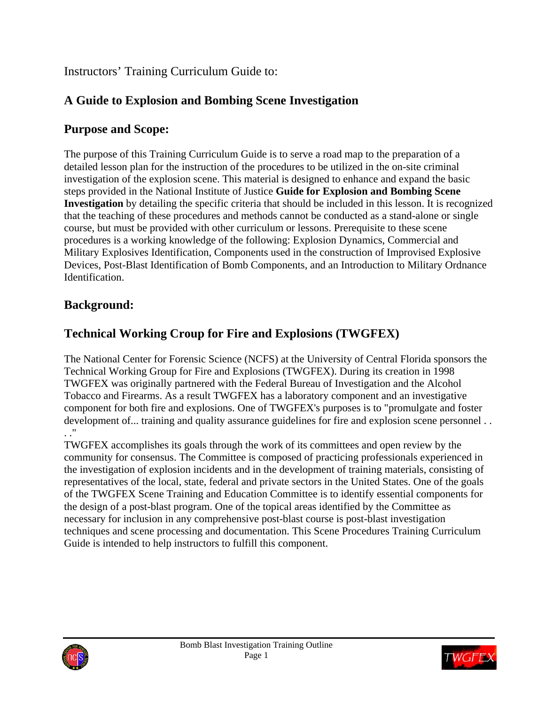## Instructors' Training Curriculum Guide to:

# **A Guide to Explosion and Bombing Scene Investigation**

# **Purpose and Scope:**

The purpose of this Training Curriculum Guide is to serve a road map to the preparation of a detailed lesson plan for the instruction of the procedures to be utilized in the on-site criminal investigation of the explosion scene. This material is designed to enhance and expand the basic steps provided in the National Institute of Justice **Guide for Explosion and Bombing Scene Investigation** by detailing the specific criteria that should be included in this lesson. It is recognized that the teaching of these procedures and methods cannot be conducted as a stand-alone or single course, but must be provided with other curriculum or lessons. Prerequisite to these scene procedures is a working knowledge of the following: Explosion Dynamics, Commercial and Military Explosives Identification, Components used in the construction of Improvised Explosive Devices, Post-Blast Identification of Bomb Components, and an Introduction to Military Ordnance Identification.

# **Background:**

# **Technical Working Croup for Fire and Explosions (TWGFEX)**

The National Center for Forensic Science (NCFS) at the University of Central Florida sponsors the Technical Working Group for Fire and Explosions (TWGFEX). During its creation in 1998 TWGFEX was originally partnered with the Federal Bureau of Investigation and the Alcohol Tobacco and Firearms. As a result TWGFEX has a laboratory component and an investigative component for both fire and explosions. One of TWGFEX's purposes is to "promulgate and foster development of... training and quality assurance guidelines for fire and explosion scene personnel . . . ."

TWGFEX accomplishes its goals through the work of its committees and open review by the community for consensus. The Committee is composed of practicing professionals experienced in the investigation of explosion incidents and in the development of training materials, consisting of representatives of the local, state, federal and private sectors in the United States. One of the goals of the TWGFEX Scene Training and Education Committee is to identify essential components for the design of a post-blast program. One of the topical areas identified by the Committee as necessary for inclusion in any comprehensive post-blast course is post-blast investigation techniques and scene processing and documentation. This Scene Procedures Training Curriculum Guide is intended to help instructors to fulfill this component.



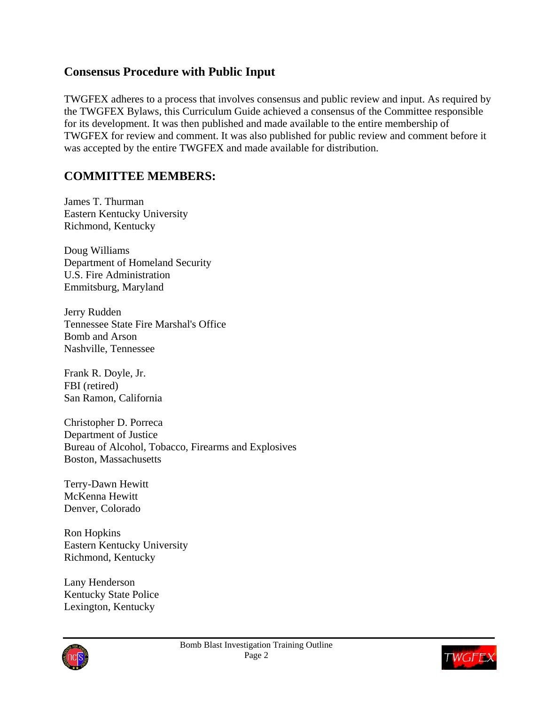### **Consensus Procedure with Public Input**

TWGFEX adheres to a process that involves consensus and public review and input. As required by the TWGFEX Bylaws, this Curriculum Guide achieved a consensus of the Committee responsible for its development. It was then published and made available to the entire membership of TWGFEX for review and comment. It was also published for public review and comment before it was accepted by the entire TWGFEX and made available for distribution.

### **COMMITTEE MEMBERS:**

James T. Thurman Eastern Kentucky University Richmond, Kentucky

Doug Williams Department of Homeland Security U.S. Fire Administration Emmitsburg, Maryland

Jerry Rudden Tennessee State Fire Marshal's Office Bomb and Arson Nashville, Tennessee

Frank R. Doyle, Jr. FBI (retired) San Ramon, California

Christopher D. Porreca Department of Justice Bureau of Alcohol, Tobacco, Firearms and Explosives Boston, Massachusetts

Terry-Dawn Hewitt McKenna Hewitt Denver, Colorado

Ron Hopkins Eastern Kentucky University Richmond, Kentucky

Lany Henderson Kentucky State Police Lexington, Kentucky



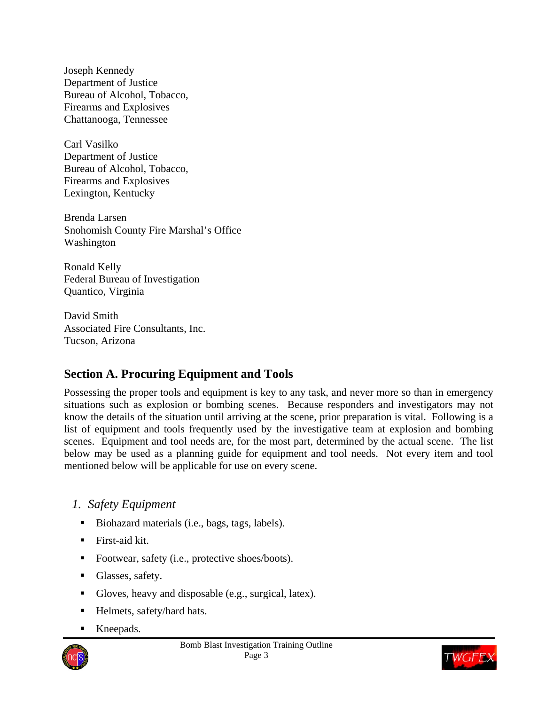Joseph Kennedy Department of Justice Bureau of Alcohol, Tobacco, Firearms and Explosives Chattanooga, Tennessee

Carl Vasilko Department of Justice Bureau of Alcohol, Tobacco, Firearms and Explosives Lexington, Kentucky

Brenda Larsen Snohomish County Fire Marshal's Office Washington

Ronald Kelly Federal Bureau of Investigation Quantico, Virginia

David Smith Associated Fire Consultants, Inc. Tucson, Arizona

# **Section A. Procuring Equipment and Tools**

Possessing the proper tools and equipment is key to any task, and never more so than in emergency situations such as explosion or bombing scenes. Because responders and investigators may not know the details of the situation until arriving at the scene, prior preparation is vital. Following is a list of equipment and tools frequently used by the investigative team at explosion and bombing scenes. Equipment and tool needs are, for the most part, determined by the actual scene. The list below may be used as a planning guide for equipment and tool needs. Not every item and tool mentioned below will be applicable for use on every scene.

## *1. Safety Equipment*

- Biohazard materials (i.e., bags, tags, labels).
- $\blacksquare$  First-aid kit.
- Footwear, safety (i.e., protective shoes/boots).
- **Glasses**, safety.
- Gloves, heavy and disposable (e.g., surgical, latex).
- Helmets, safety/hard hats.
- Kneepads.



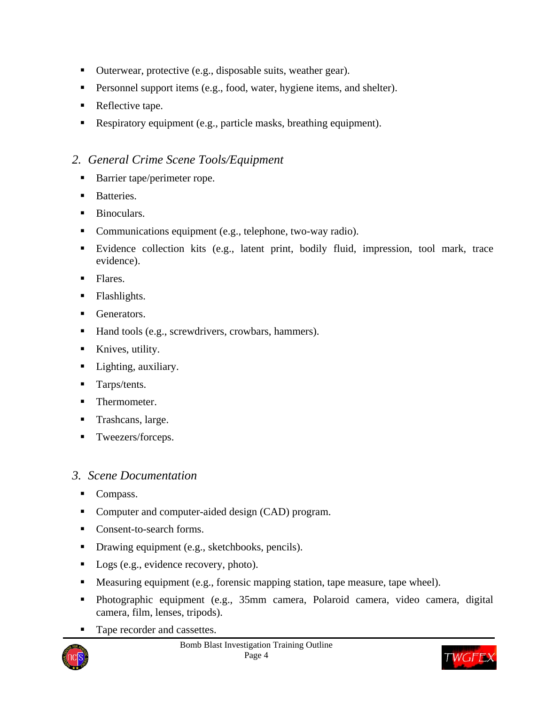- Outerwear, protective (e.g., disposable suits, weather gear).
- **Personnel support items (e.g., food, water, hygiene items, and shelter).**
- Reflective tape.
- Respiratory equipment (e.g., particle masks, breathing equipment).

### *2. General Crime Scene Tools/Equipment*

- Barrier tape/perimeter rope.
- **Batteries.**
- Binoculars.
- Communications equipment (e.g., telephone, two-way radio).
- Evidence collection kits (e.g., latent print, bodily fluid, impression, tool mark, trace evidence).
- Flares.
- Flashlights.
- Generators.
- Hand tools (e.g., screwdrivers, crowbars, hammers).
- Knives, utility.
- Lighting, auxiliary.
- **Tarps/tents.**
- Thermometer.
- **Trashcans**, large.
- Tweezers/forceps.

### *3. Scene Documentation*

- Compass.
- Computer and computer-aided design (CAD) program.
- Consent-to-search forms.
- Drawing equipment (e.g., sketchbooks, pencils).
- Logs (e.g., evidence recovery, photo).
- Measuring equipment (e.g., forensic mapping station, tape measure, tape wheel).
- Photographic equipment (e.g., 35mm camera, Polaroid camera, video camera, digital camera, film, lenses, tripods).
- Tape recorder and cassettes.



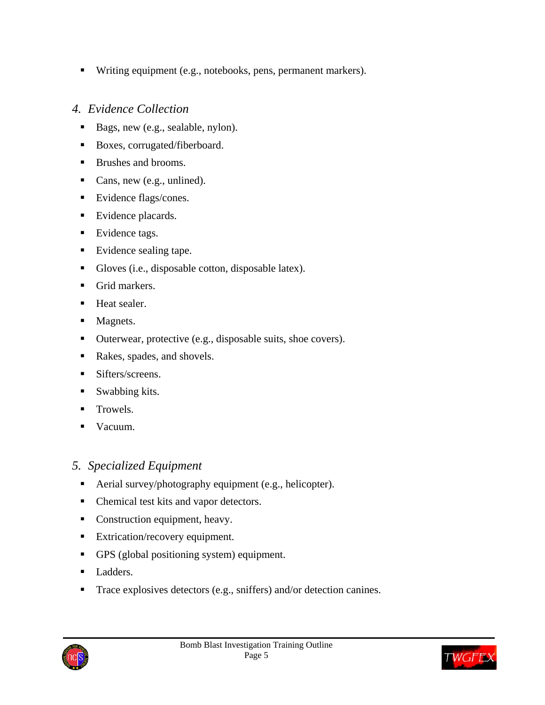■ Writing equipment (e.g., notebooks, pens, permanent markers).

### *4. Evidence Collection*

- Bags, new (e.g., sealable, nylon).
- Boxes, corrugated/fiberboard.
- Brushes and brooms.
- Cans, new (e.g., unlined).
- Evidence flags/cones.
- Evidence placards.
- Evidence tags.
- Evidence sealing tape.
- Gloves (i.e., disposable cotton, disposable latex).
- Grid markers.
- **Heat sealer.**
- Magnets.
- Outerwear, protective (e.g., disposable suits, shoe covers).
- Rakes, spades, and shovels.
- Sifters/screens.
- Swabbing kits.
- $\blacksquare$  Trowels.
- Vacuum.

### *5. Specialized Equipment*

- Aerial survey/photography equipment (e.g., helicopter).
- Chemical test kits and vapor detectors.
- Construction equipment, heavy.
- Extrication/recovery equipment.
- GPS (global positioning system) equipment.
- **Ladders.**
- Trace explosives detectors (e.g., sniffers) and/or detection canines.



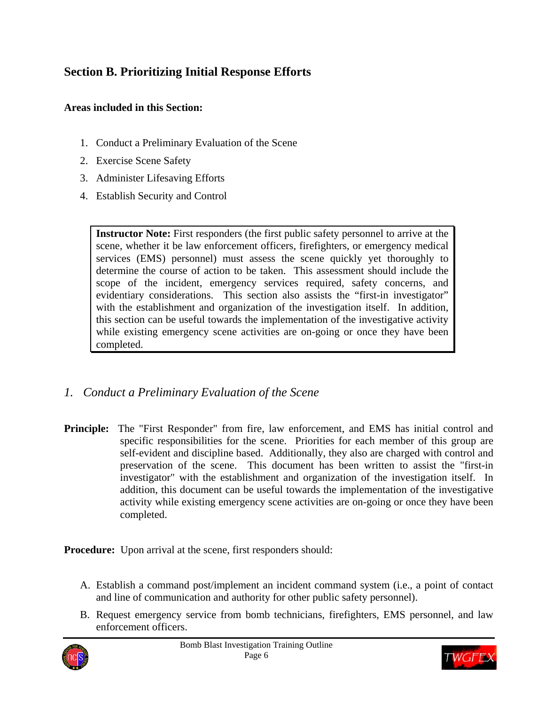## **Section B. Prioritizing Initial Response Efforts**

### **Areas included in this Section:**

- 1. Conduct a Preliminary Evaluation of the Scene
- 2. Exercise Scene Safety
- 3. Administer Lifesaving Efforts
- 4. Establish Security and Control

**Instructor Note:** First responders (the first public safety personnel to arrive at the scene, whether it be law enforcement officers, firefighters, or emergency medical services (EMS) personnel) must assess the scene quickly yet thoroughly to determine the course of action to be taken. This assessment should include the scope of the incident, emergency services required, safety concerns, and evidentiary considerations. This section also assists the "first-in investigator" with the establishment and organization of the investigation itself. In addition, this section can be useful towards the implementation of the investigative activity while existing emergency scene activities are on-going or once they have been completed.

- *1. Conduct a Preliminary Evaluation of the Scene*
- **Principle:** The "First Responder" from fire, law enforcement, and EMS has initial control and specific responsibilities for the scene. Priorities for each member of this group are self-evident and discipline based. Additionally, they also are charged with control and preservation of the scene. This document has been written to assist the "first-in investigator" with the establishment and organization of the investigation itself. In addition, this document can be useful towards the implementation of the investigative activity while existing emergency scene activities are on-going or once they have been completed.

**Procedure:** Upon arrival at the scene, first responders should:

- A. Establish a command post/implement an incident command system (i.e., a point of contact and line of communication and authority for other public safety personnel).
- B. Request emergency service from bomb technicians, firefighters, EMS personnel, and law enforcement officers.



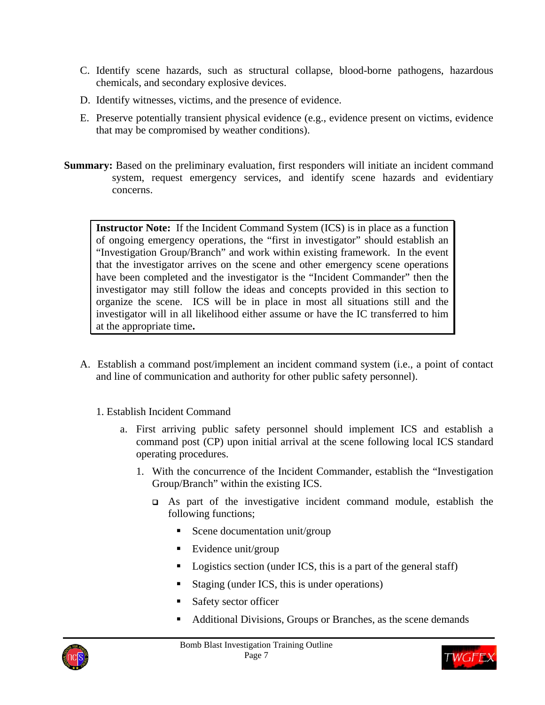- C. Identify scene hazards, such as structural collapse, blood-borne pathogens, hazardous chemicals, and secondary explosive devices.
- D. Identify witnesses, victims, and the presence of evidence.
- E. Preserve potentially transient physical evidence (e.g., evidence present on victims, evidence that may be compromised by weather conditions).
- **Summary:** Based on the preliminary evaluation, first responders will initiate an incident command system, request emergency services, and identify scene hazards and evidentiary concerns.

**Instructor Note:** If the Incident Command System (ICS) is in place as a function of ongoing emergency operations, the "first in investigator" should establish an "Investigation Group/Branch" and work within existing framework. In the event that the investigator arrives on the scene and other emergency scene operations have been completed and the investigator is the "Incident Commander" then the investigator may still follow the ideas and concepts provided in this section to organize the scene. ICS will be in place in most all situations still and the investigator will in all likelihood either assume or have the IC transferred to him at the appropriate time**.** 

- A. Establish a command post/implement an incident command system (i.e., a point of contact and line of communication and authority for other public safety personnel).
	- 1. Establish Incident Command
		- a. First arriving public safety personnel should implement ICS and establish a command post (CP) upon initial arrival at the scene following local ICS standard operating procedures.
			- 1. With the concurrence of the Incident Commander, establish the "Investigation Group/Branch" within the existing ICS.
				- As part of the investigative incident command module, establish the following functions;
					- Scene documentation unit/group
					- Evidence unit/group
					- Logistics section (under ICS, this is a part of the general staff)
					- Staging (under ICS, this is under operations)
					- Safety sector officer
					- Additional Divisions, Groups or Branches, as the scene demands



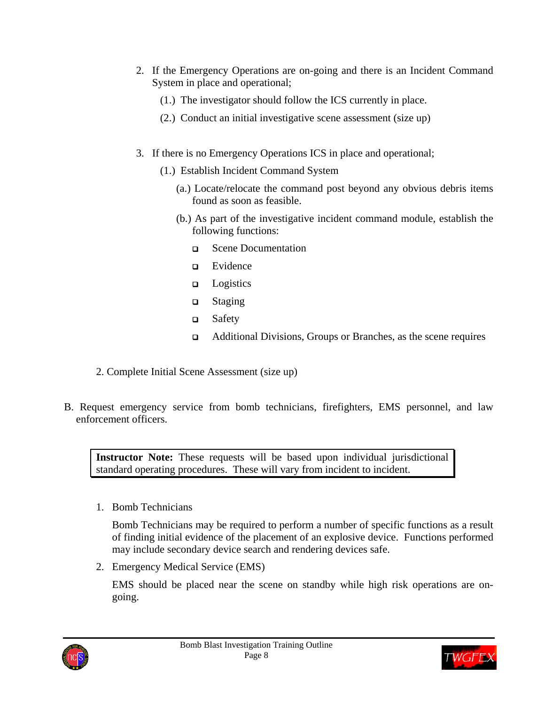- 2. If the Emergency Operations are on-going and there is an Incident Command System in place and operational;
	- (1.) The investigator should follow the ICS currently in place.
	- (2.) Conduct an initial investigative scene assessment (size up)
- 3. If there is no Emergency Operations ICS in place and operational;
	- (1.) Establish Incident Command System
		- (a.) Locate/relocate the command post beyond any obvious debris items found as soon as feasible.
		- (b.) As part of the investigative incident command module, establish the following functions:
			- Scene Documentation
			- Evidence
			- $\Box$  Logistics
			- □ Staging
			- Safety
			- Additional Divisions, Groups or Branches, as the scene requires
- 2. Complete Initial Scene Assessment (size up)
- B. Request emergency service from bomb technicians, firefighters, EMS personnel, and law enforcement officers.

**Instructor Note:** These requests will be based upon individual jurisdictional standard operating procedures. These will vary from incident to incident.

1. Bomb Technicians

Bomb Technicians may be required to perform a number of specific functions as a result of finding initial evidence of the placement of an explosive device. Functions performed may include secondary device search and rendering devices safe.

2. Emergency Medical Service (EMS)

EMS should be placed near the scene on standby while high risk operations are ongoing.



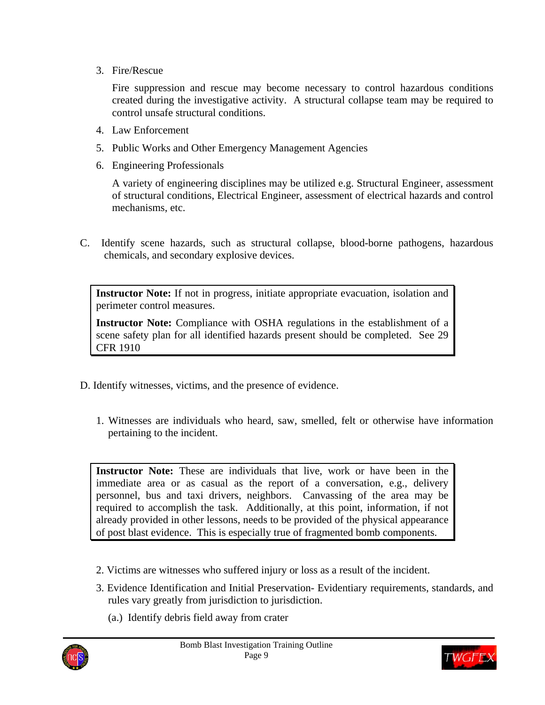3. Fire/Rescue

Fire suppression and rescue may become necessary to control hazardous conditions created during the investigative activity. A structural collapse team may be required to control unsafe structural conditions.

- 4. Law Enforcement
- 5. Public Works and Other Emergency Management Agencies
- 6. Engineering Professionals

A variety of engineering disciplines may be utilized e.g. Structural Engineer, assessment of structural conditions, Electrical Engineer, assessment of electrical hazards and control mechanisms, etc.

C. Identify scene hazards, such as structural collapse, blood-borne pathogens, hazardous chemicals, and secondary explosive devices.

**Instructor Note:** If not in progress, initiate appropriate evacuation, isolation and perimeter control measures.

**Instructor Note:** Compliance with OSHA regulations in the establishment of a scene safety plan for all identified hazards present should be completed. See 29 CFR 1910

- D. Identify witnesses, victims, and the presence of evidence.
	- 1. Witnesses are individuals who heard, saw, smelled, felt or otherwise have information pertaining to the incident.

**Instructor Note:** These are individuals that live, work or have been in the immediate area or as casual as the report of a conversation, e.g., delivery personnel, bus and taxi drivers, neighbors. Canvassing of the area may be required to accomplish the task. Additionally, at this point, information, if not already provided in other lessons, needs to be provided of the physical appearance of post blast evidence. This is especially true of fragmented bomb components.

- 2. Victims are witnesses who suffered injury or loss as a result of the incident.
- 3. Evidence Identification and Initial Preservation- Evidentiary requirements, standards, and rules vary greatly from jurisdiction to jurisdiction.
	- (a.) Identify debris field away from crater



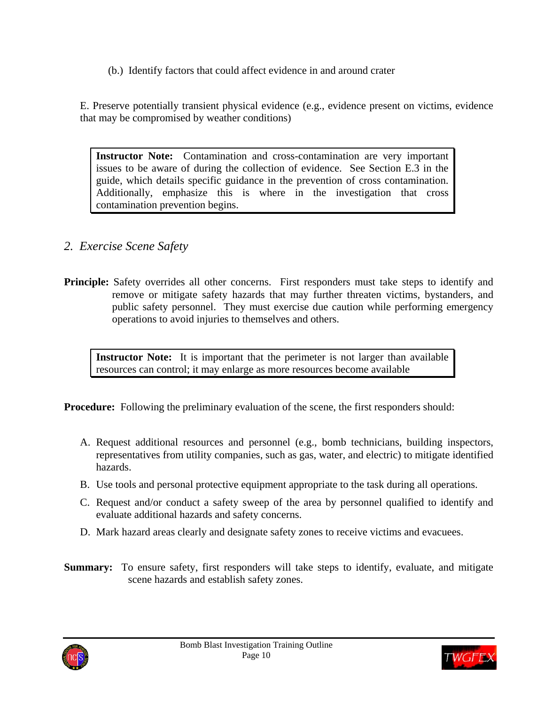(b.) Identify factors that could affect evidence in and around crater

E. Preserve potentially transient physical evidence (e.g., evidence present on victims, evidence that may be compromised by weather conditions)

**Instructor Note:** Contamination and cross-contamination are very important issues to be aware of during the collection of evidence. See Section E.3 in the guide, which details specific guidance in the prevention of cross contamination. Additionally, emphasize this is where in the investigation that cross contamination prevention begins.

- *2. Exercise Scene Safety*
- **Principle:** Safety overrides all other concerns. First responders must take steps to identify and remove or mitigate safety hazards that may further threaten victims, bystanders, and public safety personnel. They must exercise due caution while performing emergency operations to avoid injuries to themselves and others.

**Instructor Note:** It is important that the perimeter is not larger than available resources can control; it may enlarge as more resources become available

**Procedure:** Following the preliminary evaluation of the scene, the first responders should:

- A. Request additional resources and personnel (e.g., bomb technicians, building inspectors, representatives from utility companies, such as gas, water, and electric) to mitigate identified hazards.
- B. Use tools and personal protective equipment appropriate to the task during all operations.
- C. Request and/or conduct a safety sweep of the area by personnel qualified to identify and evaluate additional hazards and safety concerns.
- D. Mark hazard areas clearly and designate safety zones to receive victims and evacuees.
- **Summary:** To ensure safety, first responders will take steps to identify, evaluate, and mitigate scene hazards and establish safety zones.



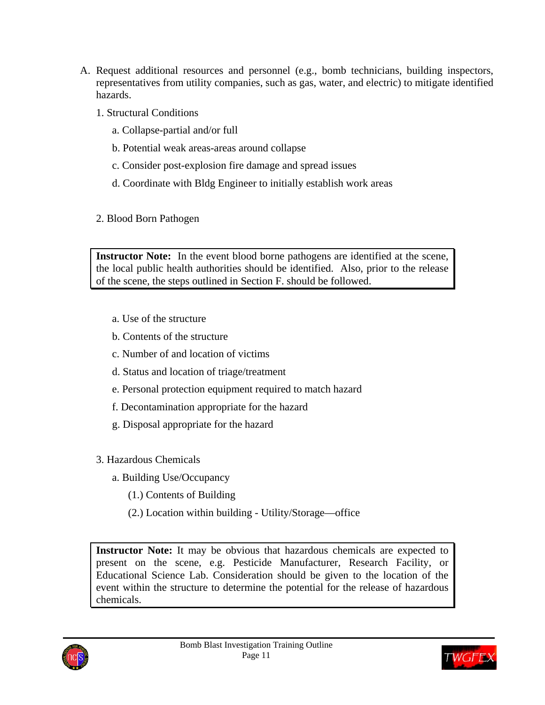- A. Request additional resources and personnel (e.g., bomb technicians, building inspectors, representatives from utility companies, such as gas, water, and electric) to mitigate identified hazards.
	- 1. Structural Conditions
		- a. Collapse-partial and/or full
		- b. Potential weak areas-areas around collapse
		- c. Consider post-explosion fire damage and spread issues
		- d. Coordinate with Bldg Engineer to initially establish work areas
	- 2. Blood Born Pathogen

**Instructor Note:** In the event blood borne pathogens are identified at the scene, the local public health authorities should be identified. Also, prior to the release of the scene, the steps outlined in Section F. should be followed.

- a. Use of the structure
- b. Contents of the structure
- c. Number of and location of victims
- d. Status and location of triage/treatment
- e. Personal protection equipment required to match hazard
- f. Decontamination appropriate for the hazard
- g. Disposal appropriate for the hazard
- 3. Hazardous Chemicals
	- a. Building Use/Occupancy
		- (1.) Contents of Building
		- (2.) Location within building Utility/Storage—office

**Instructor Note:** It may be obvious that hazardous chemicals are expected to present on the scene, e.g. Pesticide Manufacturer, Research Facility, or Educational Science Lab. Consideration should be given to the location of the event within the structure to determine the potential for the release of hazardous chemicals.



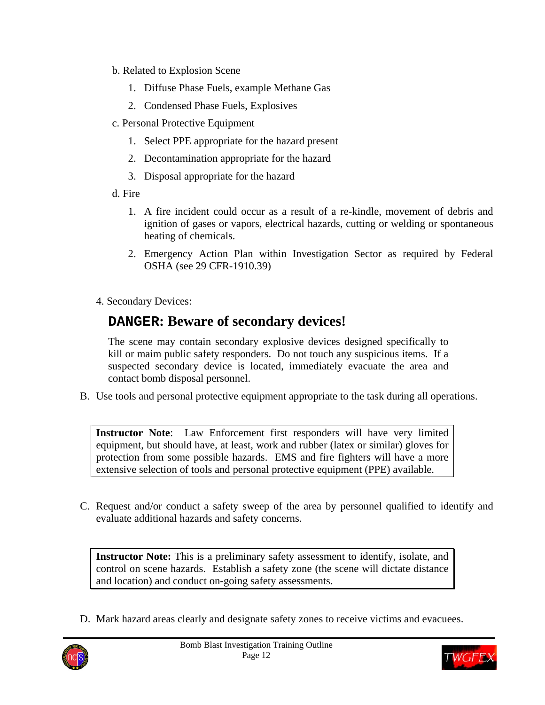- b. Related to Explosion Scene
	- 1. Diffuse Phase Fuels, example Methane Gas
	- 2. Condensed Phase Fuels, Explosives
- c. Personal Protective Equipment
	- 1. Select PPE appropriate for the hazard present
	- 2. Decontamination appropriate for the hazard
	- 3. Disposal appropriate for the hazard
- d. Fire
	- 1. A fire incident could occur as a result of a re-kindle, movement of debris and ignition of gases or vapors, electrical hazards, cutting or welding or spontaneous heating of chemicals.
	- 2. Emergency Action Plan within Investigation Sector as required by Federal OSHA (see 29 CFR-1910.39)
- 4. Secondary Devices:

# **DANGER: Beware of secondary devices!**

The scene may contain secondary explosive devices designed specifically to kill or maim public safety responders. Do not touch any suspicious items. If a suspected secondary device is located, immediately evacuate the area and contact bomb disposal personnel.

B. Use tools and personal protective equipment appropriate to the task during all operations.

**Instructor Note**: Law Enforcement first responders will have very limited equipment, but should have, at least, work and rubber (latex or similar) gloves for protection from some possible hazards. EMS and fire fighters will have a more extensive selection of tools and personal protective equipment (PPE) available.

C. Request and/or conduct a safety sweep of the area by personnel qualified to identify and evaluate additional hazards and safety concerns.

**Instructor Note:** This is a preliminary safety assessment to identify, isolate, and control on scene hazards. Establish a safety zone (the scene will dictate distance and location) and conduct on-going safety assessments.

D. Mark hazard areas clearly and designate safety zones to receive victims and evacuees.



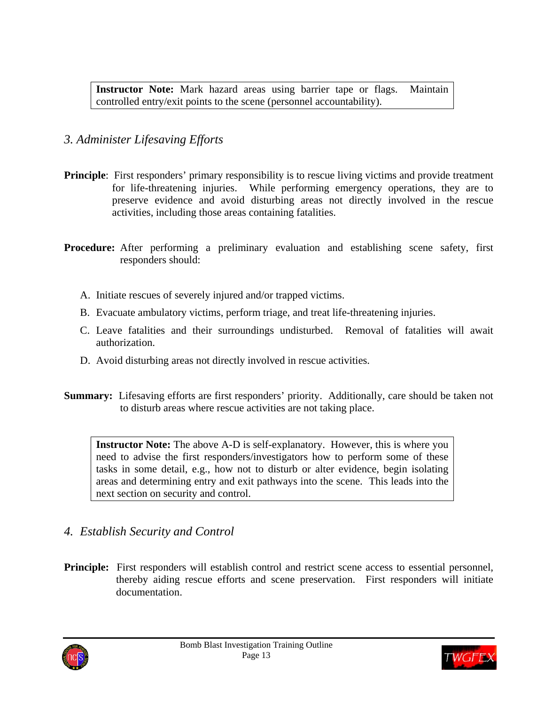**Instructor Note:** Mark hazard areas using barrier tape or flags. Maintain controlled entry/exit points to the scene (personnel accountability).

### *3. Administer Lifesaving Efforts*

- **Principle**: First responders' primary responsibility is to rescue living victims and provide treatment for life-threatening injuries. While performing emergency operations, they are to preserve evidence and avoid disturbing areas not directly involved in the rescue activities, including those areas containing fatalities.
- **Procedure:** After performing a preliminary evaluation and establishing scene safety, first responders should:
	- A. Initiate rescues of severely injured and/or trapped victims.
	- B. Evacuate ambulatory victims, perform triage, and treat life-threatening injuries.
	- C. Leave fatalities and their surroundings undisturbed. Removal of fatalities will await authorization.
	- D. Avoid disturbing areas not directly involved in rescue activities.
- **Summary:** Lifesaving efforts are first responders' priority. Additionally, care should be taken not to disturb areas where rescue activities are not taking place.

**Instructor Note:** The above A-D is self-explanatory. However, this is where you need to advise the first responders/investigators how to perform some of these tasks in some detail, e.g., how not to disturb or alter evidence, begin isolating areas and determining entry and exit pathways into the scene. This leads into the next section on security and control.

### *4. Establish Security and Control*

**Principle:** First responders will establish control and restrict scene access to essential personnel, thereby aiding rescue efforts and scene preservation. First responders will initiate documentation.



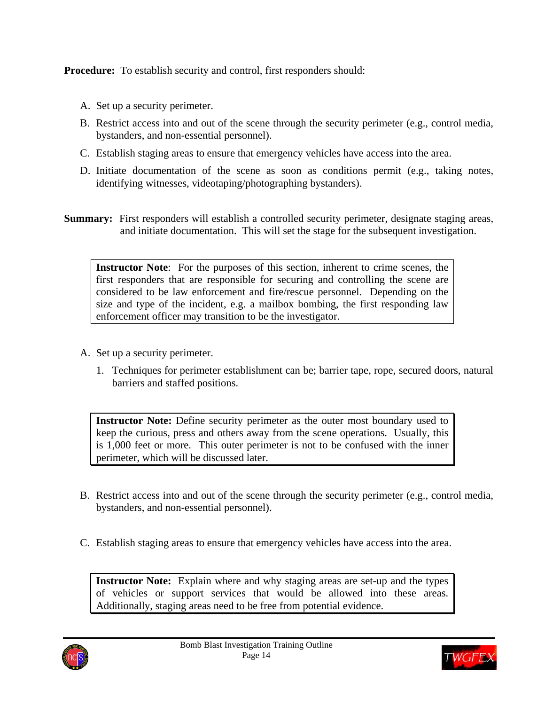**Procedure:** To establish security and control, first responders should:

- A. Set up a security perimeter.
- B. Restrict access into and out of the scene through the security perimeter (e.g., control media, bystanders, and non-essential personnel).
- C. Establish staging areas to ensure that emergency vehicles have access into the area.
- D. Initiate documentation of the scene as soon as conditions permit (e.g., taking notes, identifying witnesses, videotaping/photographing bystanders).
- **Summary:** First responders will establish a controlled security perimeter, designate staging areas, and initiate documentation. This will set the stage for the subsequent investigation.

**Instructor Note**: For the purposes of this section, inherent to crime scenes, the first responders that are responsible for securing and controlling the scene are considered to be law enforcement and fire/rescue personnel. Depending on the size and type of the incident, e.g. a mailbox bombing, the first responding law enforcement officer may transition to be the investigator.

- A. Set up a security perimeter.
	- 1. Techniques for perimeter establishment can be; barrier tape, rope, secured doors, natural barriers and staffed positions.

**Instructor Note:** Define security perimeter as the outer most boundary used to keep the curious, press and others away from the scene operations. Usually, this is 1,000 feet or more. This outer perimeter is not to be confused with the inner perimeter, which will be discussed later.

- B. Restrict access into and out of the scene through the security perimeter (e.g., control media, bystanders, and non-essential personnel).
- C. Establish staging areas to ensure that emergency vehicles have access into the area.

**Instructor Note:** Explain where and why staging areas are set-up and the types of vehicles or support services that would be allowed into these areas. Additionally, staging areas need to be free from potential evidence.



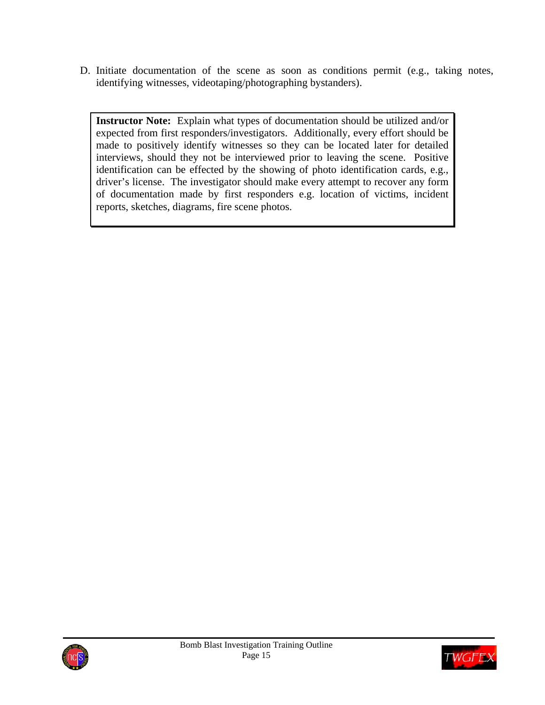D. Initiate documentation of the scene as soon as conditions permit (e.g., taking notes, identifying witnesses, videotaping/photographing bystanders).

**Instructor Note:** Explain what types of documentation should be utilized and/or expected from first responders/investigators. Additionally, every effort should be made to positively identify witnesses so they can be located later for detailed interviews, should they not be interviewed prior to leaving the scene. Positive identification can be effected by the showing of photo identification cards, e.g., driver's license. The investigator should make every attempt to recover any form of documentation made by first responders e.g. location of victims, incident reports, sketches, diagrams, fire scene photos.



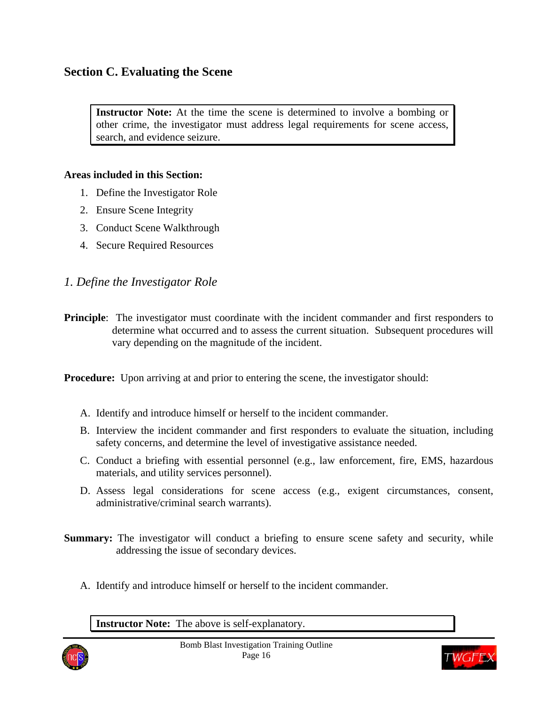### **Section C. Evaluating the Scene**

**Instructor Note:** At the time the scene is determined to involve a bombing or other crime, the investigator must address legal requirements for scene access, search, and evidence seizure.

#### **Areas included in this Section:**

- 1. Define the Investigator Role
- 2. Ensure Scene Integrity
- 3. Conduct Scene Walkthrough
- 4. Secure Required Resources

#### *1. Define the Investigator Role*

**Principle**: The investigator must coordinate with the incident commander and first responders to determine what occurred and to assess the current situation. Subsequent procedures will vary depending on the magnitude of the incident.

**Procedure:** Upon arriving at and prior to entering the scene, the investigator should:

- A. Identify and introduce himself or herself to the incident commander.
- B. Interview the incident commander and first responders to evaluate the situation, including safety concerns, and determine the level of investigative assistance needed.
- C. Conduct a briefing with essential personnel (e.g., law enforcement, fire, EMS, hazardous materials, and utility services personnel).
- D. Assess legal considerations for scene access (e.g., exigent circumstances, consent, administrative/criminal search warrants).
- **Summary:** The investigator will conduct a briefing to ensure scene safety and security, while addressing the issue of secondary devices.
	- A. Identify and introduce himself or herself to the incident commander.

**Instructor Note:** The above is self-explanatory.



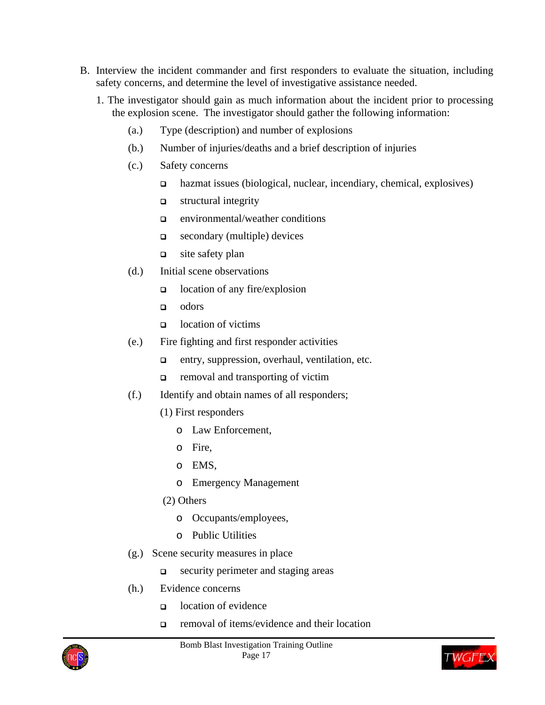- B. Interview the incident commander and first responders to evaluate the situation, including safety concerns, and determine the level of investigative assistance needed.
	- 1. The investigator should gain as much information about the incident prior to processing the explosion scene. The investigator should gather the following information:
		- (a.) Type (description) and number of explosions
		- (b.) Number of injuries/deaths and a brief description of injuries
		- (c.) Safety concerns
			- hazmat issues (biological, nuclear, incendiary, chemical, explosives)
			- $\Box$  structural integrity
			- environmental/weather conditions
			- secondary (multiple) devices
			- $\Box$  site safety plan
		- (d.) Initial scene observations
			- $\Box$  location of any fire/explosion
			- odors
			- o location of victims
		- (e.) Fire fighting and first responder activities
			- entry, suppression, overhaul, ventilation, etc.
			- $\Box$  removal and transporting of victim
		- (f.) Identify and obtain names of all responders;
			- (1) First responders
				- o Law Enforcement,
				- o Fire,
				- o EMS,
				- o Emergency Management
			- (2) Others
				- o Occupants/employees,
				- o Public Utilities
		- (g.) Scene security measures in place
			- security perimeter and staging areas
		- (h.) Evidence concerns
			- $\Box$  location of evidence
			- removal of items/evidence and their location



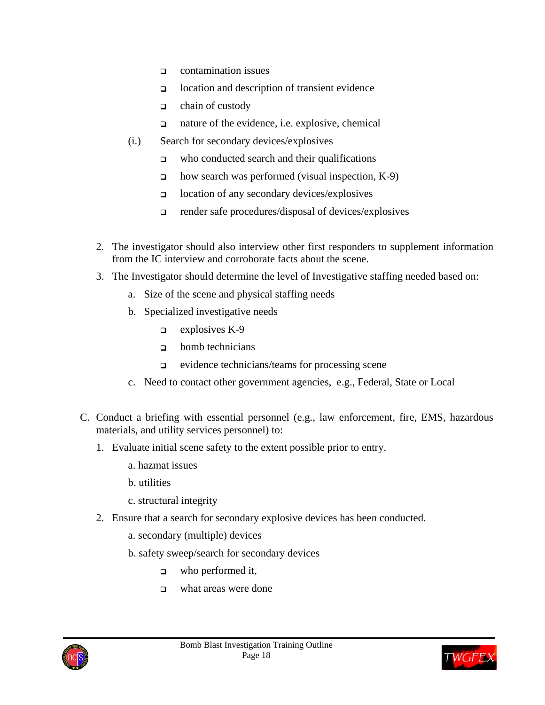- contamination issues
- location and description of transient evidence
- $\Box$  chain of custody
- nature of the evidence, i.e. explosive, chemical
- (i.) Search for secondary devices/explosives
	- $\Box$  who conducted search and their qualifications
	- $\Box$  how search was performed (visual inspection, K-9)
	- location of any secondary devices/explosives
	- $\Box$  render safe procedures/disposal of devices/explosives
- 2. The investigator should also interview other first responders to supplement information from the IC interview and corroborate facts about the scene.
- 3. The Investigator should determine the level of Investigative staffing needed based on:
	- a. Size of the scene and physical staffing needs
	- b. Specialized investigative needs
		- $\Box$  explosives K-9
		- $\Box$  bomb technicians
		- $\Box$  evidence technicians/teams for processing scene
	- c. Need to contact other government agencies, e.g., Federal, State or Local
- C. Conduct a briefing with essential personnel (e.g., law enforcement, fire, EMS, hazardous materials, and utility services personnel) to:
	- 1. Evaluate initial scene safety to the extent possible prior to entry.
		- a. hazmat issues
		- b. utilities
		- c. structural integrity
	- 2. Ensure that a search for secondary explosive devices has been conducted.
		- a. secondary (multiple) devices
		- b. safety sweep/search for secondary devices
			- $\Box$  who performed it,
			- what areas were done



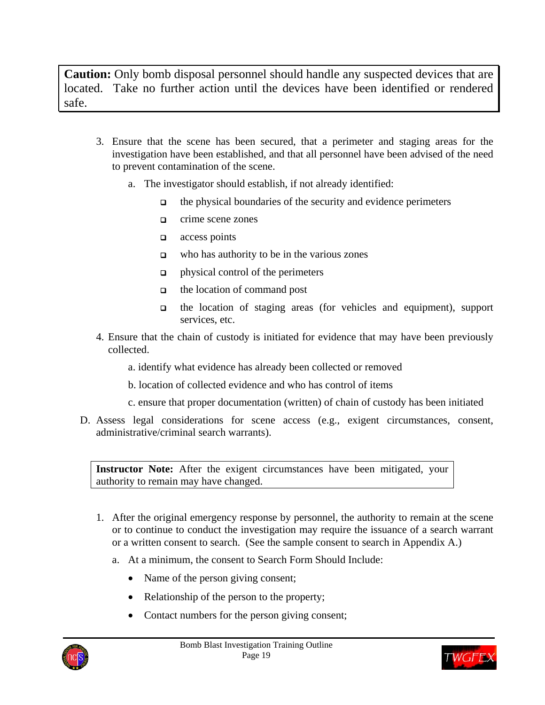**Caution:** Only bomb disposal personnel should handle any suspected devices that are located. Take no further action until the devices have been identified or rendered safe.

- 3. Ensure that the scene has been secured, that a perimeter and staging areas for the investigation have been established, and that all personnel have been advised of the need to prevent contamination of the scene.
	- a. The investigator should establish, if not already identified:
		- $\Box$  the physical boundaries of the security and evidence perimeters
		- **Q** crime scene zones
		- $\Box$  access points
		- $\Box$  who has authority to be in the various zones
		- $\Box$  physical control of the perimeters
		- $\Box$  the location of command post
		- the location of staging areas (for vehicles and equipment), support services, etc.
- 4. Ensure that the chain of custody is initiated for evidence that may have been previously collected.
	- a. identify what evidence has already been collected or removed
	- b. location of collected evidence and who has control of items
	- c. ensure that proper documentation (written) of chain of custody has been initiated
- D. Assess legal considerations for scene access (e.g., exigent circumstances, consent, administrative/criminal search warrants).

**Instructor Note:** After the exigent circumstances have been mitigated, your authority to remain may have changed.

- 1. After the original emergency response by personnel, the authority to remain at the scene or to continue to conduct the investigation may require the issuance of a search warrant or a written consent to search. (See the sample consent to search in Appendix A.)
	- a. At a minimum, the consent to Search Form Should Include:
		- Name of the person giving consent;
		- Relationship of the person to the property;
		- Contact numbers for the person giving consent;



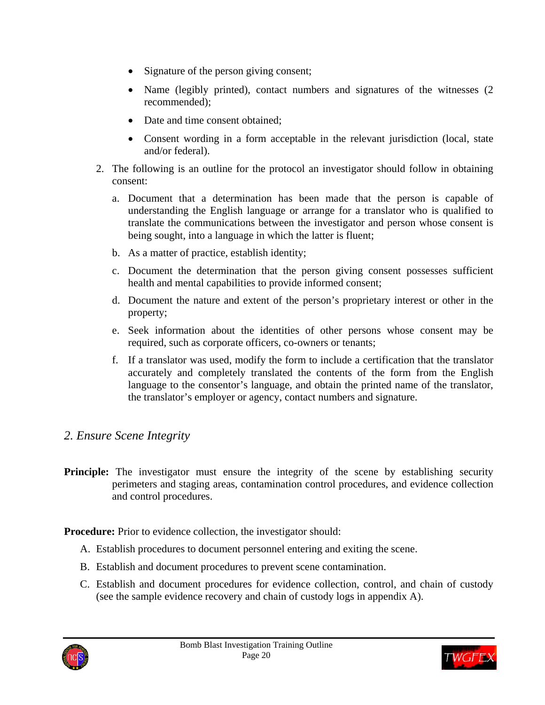- Signature of the person giving consent;
- Name (legibly printed), contact numbers and signatures of the witnesses (2) recommended);
- Date and time consent obtained:
- Consent wording in a form acceptable in the relevant jurisdiction (local, state and/or federal).
- 2. The following is an outline for the protocol an investigator should follow in obtaining consent:
	- a. Document that a determination has been made that the person is capable of understanding the English language or arrange for a translator who is qualified to translate the communications between the investigator and person whose consent is being sought, into a language in which the latter is fluent;
	- b. As a matter of practice, establish identity;
	- c. Document the determination that the person giving consent possesses sufficient health and mental capabilities to provide informed consent;
	- d. Document the nature and extent of the person's proprietary interest or other in the property;
	- e. Seek information about the identities of other persons whose consent may be required, such as corporate officers, co-owners or tenants;
	- f. If a translator was used, modify the form to include a certification that the translator accurately and completely translated the contents of the form from the English language to the consentor's language, and obtain the printed name of the translator, the translator's employer or agency, contact numbers and signature.

## *2. Ensure Scene Integrity*

**Principle:** The investigator must ensure the integrity of the scene by establishing security perimeters and staging areas, contamination control procedures, and evidence collection and control procedures.

**Procedure:** Prior to evidence collection, the investigator should:

- A. Establish procedures to document personnel entering and exiting the scene.
- B. Establish and document procedures to prevent scene contamination.
- C. Establish and document procedures for evidence collection, control, and chain of custody (see the sample evidence recovery and chain of custody logs in appendix A).



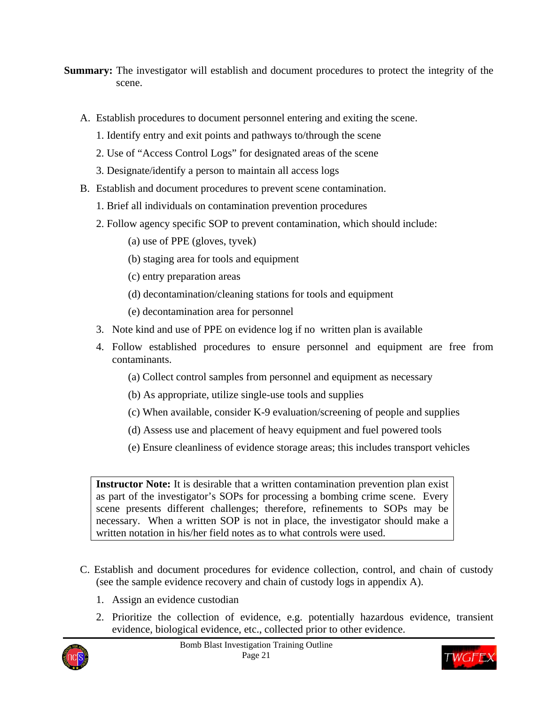**Summary:** The investigator will establish and document procedures to protect the integrity of the scene.

- A. Establish procedures to document personnel entering and exiting the scene.
	- 1. Identify entry and exit points and pathways to/through the scene
	- 2. Use of "Access Control Logs" for designated areas of the scene
	- 3. Designate/identify a person to maintain all access logs
- B. Establish and document procedures to prevent scene contamination.
	- 1. Brief all individuals on contamination prevention procedures
	- 2. Follow agency specific SOP to prevent contamination, which should include:
		- (a) use of PPE (gloves, tyvek)
		- (b) staging area for tools and equipment
		- (c) entry preparation areas
		- (d) decontamination/cleaning stations for tools and equipment
		- (e) decontamination area for personnel
	- 3. Note kind and use of PPE on evidence log if no written plan is available
	- 4. Follow established procedures to ensure personnel and equipment are free from contaminants.
		- (a) Collect control samples from personnel and equipment as necessary
		- (b) As appropriate, utilize single-use tools and supplies
		- (c) When available, consider K-9 evaluation/screening of people and supplies
		- (d) Assess use and placement of heavy equipment and fuel powered tools
		- (e) Ensure cleanliness of evidence storage areas; this includes transport vehicles

**Instructor Note:** It is desirable that a written contamination prevention plan exist as part of the investigator's SOPs for processing a bombing crime scene. Every scene presents different challenges; therefore, refinements to SOPs may be necessary. When a written SOP is not in place, the investigator should make a written notation in his/her field notes as to what controls were used.

- C. Establish and document procedures for evidence collection, control, and chain of custody (see the sample evidence recovery and chain of custody logs in appendix A).
	- 1. Assign an evidence custodian
	- 2. Prioritize the collection of evidence, e.g. potentially hazardous evidence, transient evidence, biological evidence, etc., collected prior to other evidence.



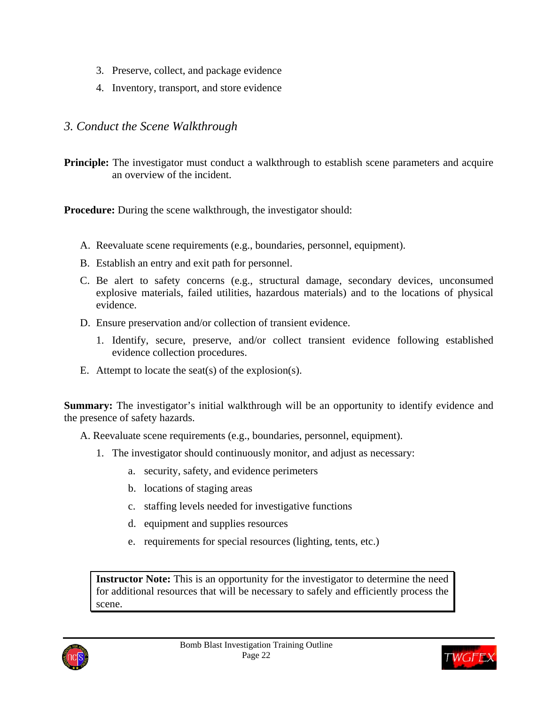- 3. Preserve, collect, and package evidence
- 4. Inventory, transport, and store evidence

## *3. Conduct the Scene Walkthrough*

**Principle:** The investigator must conduct a walkthrough to establish scene parameters and acquire an overview of the incident.

**Procedure:** During the scene walkthrough, the investigator should:

- A. Reevaluate scene requirements (e.g., boundaries, personnel, equipment).
- B. Establish an entry and exit path for personnel.
- C. Be alert to safety concerns (e.g., structural damage, secondary devices, unconsumed explosive materials, failed utilities, hazardous materials) and to the locations of physical evidence.
- D. Ensure preservation and/or collection of transient evidence.
	- 1. Identify, secure, preserve, and/or collect transient evidence following established evidence collection procedures.
- E. Attempt to locate the seat(s) of the explosion(s).

**Summary:** The investigator's initial walkthrough will be an opportunity to identify evidence and the presence of safety hazards.

A. Reevaluate scene requirements (e.g., boundaries, personnel, equipment).

- 1. The investigator should continuously monitor, and adjust as necessary:
	- a. security, safety, and evidence perimeters
	- b. locations of staging areas
	- c. staffing levels needed for investigative functions
	- d. equipment and supplies resources
	- e. requirements for special resources (lighting, tents, etc.)

**Instructor Note:** This is an opportunity for the investigator to determine the need for additional resources that will be necessary to safely and efficiently process the scene.



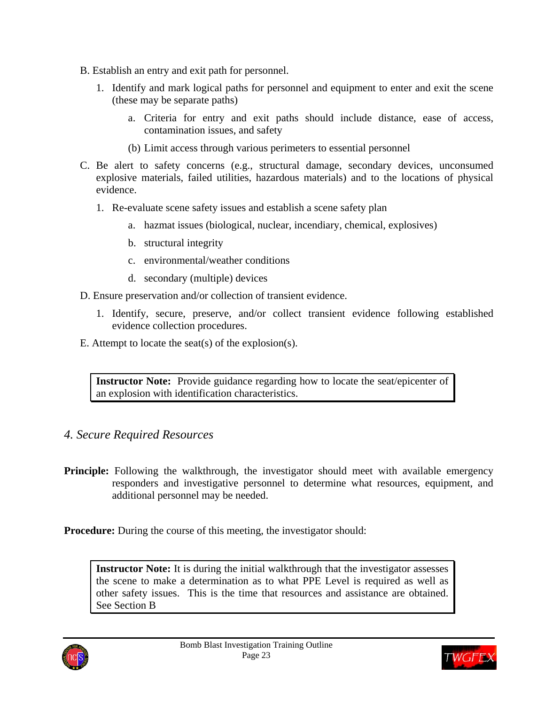- B. Establish an entry and exit path for personnel.
	- 1. Identify and mark logical paths for personnel and equipment to enter and exit the scene (these may be separate paths)
		- a. Criteria for entry and exit paths should include distance, ease of access, contamination issues, and safety
		- (b) Limit access through various perimeters to essential personnel
- C. Be alert to safety concerns (e.g., structural damage, secondary devices, unconsumed explosive materials, failed utilities, hazardous materials) and to the locations of physical evidence.
	- 1. Re-evaluate scene safety issues and establish a scene safety plan
		- a. hazmat issues (biological, nuclear, incendiary, chemical, explosives)
		- b. structural integrity
		- c. environmental/weather conditions
		- d. secondary (multiple) devices

D. Ensure preservation and/or collection of transient evidence.

- 1. Identify, secure, preserve, and/or collect transient evidence following established evidence collection procedures.
- E. Attempt to locate the seat(s) of the explosion(s).

**Instructor Note:** Provide guidance regarding how to locate the seat/epicenter of an explosion with identification characteristics.

### *4. Secure Required Resources*

**Principle:** Following the walkthrough, the investigator should meet with available emergency responders and investigative personnel to determine what resources, equipment, and additional personnel may be needed.

**Procedure:** During the course of this meeting, the investigator should:

**Instructor Note:** It is during the initial walkthrough that the investigator assesses the scene to make a determination as to what PPE Level is required as well as other safety issues. This is the time that resources and assistance are obtained. See Section B



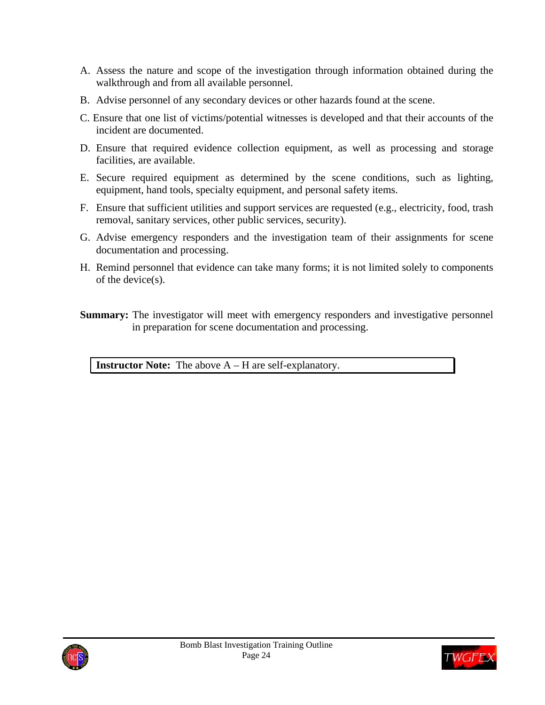- A. Assess the nature and scope of the investigation through information obtained during the walkthrough and from all available personnel.
- B. Advise personnel of any secondary devices or other hazards found at the scene.
- C. Ensure that one list of victims/potential witnesses is developed and that their accounts of the incident are documented.
- D. Ensure that required evidence collection equipment, as well as processing and storage facilities, are available.
- E. Secure required equipment as determined by the scene conditions, such as lighting, equipment, hand tools, specialty equipment, and personal safety items.
- F. Ensure that sufficient utilities and support services are requested (e.g., electricity, food, trash removal, sanitary services, other public services, security).
- G. Advise emergency responders and the investigation team of their assignments for scene documentation and processing.
- H. Remind personnel that evidence can take many forms; it is not limited solely to components of the device(s).

**Summary:** The investigator will meet with emergency responders and investigative personnel in preparation for scene documentation and processing.

**Instructor Note:** The above A – H are self-explanatory.



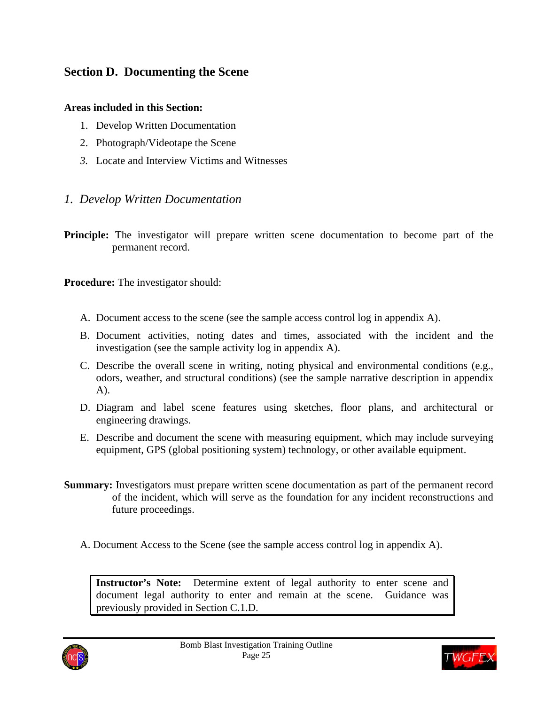## **Section D. Documenting the Scene**

#### **Areas included in this Section:**

- 1. Develop Written Documentation
- 2. Photograph/Videotape the Scene
- *3.* Locate and Interview Victims and Witnesses

#### *1. Develop Written Documentation*

**Principle:** The investigator will prepare written scene documentation to become part of the permanent record.

**Procedure:** The investigator should:

- A. Document access to the scene (see the sample access control log in appendix A).
- B. Document activities, noting dates and times, associated with the incident and the investigation (see the sample activity log in appendix A).
- C. Describe the overall scene in writing, noting physical and environmental conditions (e.g., odors, weather, and structural conditions) (see the sample narrative description in appendix A).
- D. Diagram and label scene features using sketches, floor plans, and architectural or engineering drawings.
- E. Describe and document the scene with measuring equipment, which may include surveying equipment, GPS (global positioning system) technology, or other available equipment.
- **Summary:** Investigators must prepare written scene documentation as part of the permanent record of the incident, which will serve as the foundation for any incident reconstructions and future proceedings.
	- A. Document Access to the Scene (see the sample access control log in appendix A).

**Instructor's Note:** Determine extent of legal authority to enter scene and document legal authority to enter and remain at the scene. Guidance was previously provided in Section C.1.D.



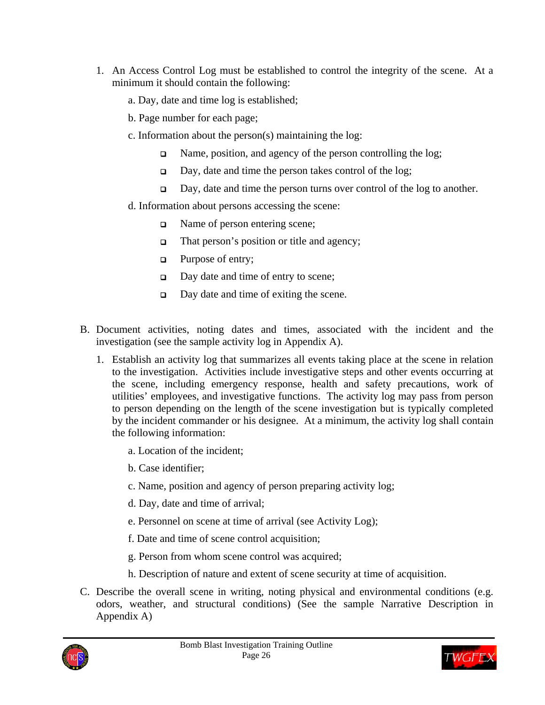- 1. An Access Control Log must be established to control the integrity of the scene. At a minimum it should contain the following:
	- a. Day, date and time log is established;
	- b. Page number for each page;
	- c. Information about the person(s) maintaining the log:
		- Name, position, and agency of the person controlling the log;
		- Day, date and time the person takes control of the log;
		- Day, date and time the person turns over control of the log to another.
	- d. Information about persons accessing the scene:
		- Name of person entering scene;
		- $\Box$  That person's position or title and agency;
		- **Q** Purpose of entry;
		- $\Box$  Day date and time of entry to scene;
		- □ Day date and time of exiting the scene.
- B. Document activities, noting dates and times, associated with the incident and the investigation (see the sample activity log in Appendix A).
	- 1. Establish an activity log that summarizes all events taking place at the scene in relation to the investigation. Activities include investigative steps and other events occurring at the scene, including emergency response, health and safety precautions, work of utilities' employees, and investigative functions. The activity log may pass from person to person depending on the length of the scene investigation but is typically completed by the incident commander or his designee. At a minimum, the activity log shall contain the following information:
		- a. Location of the incident;
		- b. Case identifier;
		- c. Name, position and agency of person preparing activity log;
		- d. Day, date and time of arrival;
		- e. Personnel on scene at time of arrival (see Activity Log);
		- f. Date and time of scene control acquisition;
		- g. Person from whom scene control was acquired;
		- h. Description of nature and extent of scene security at time of acquisition.
- C. Describe the overall scene in writing, noting physical and environmental conditions (e.g. odors, weather, and structural conditions) (See the sample Narrative Description in Appendix A)



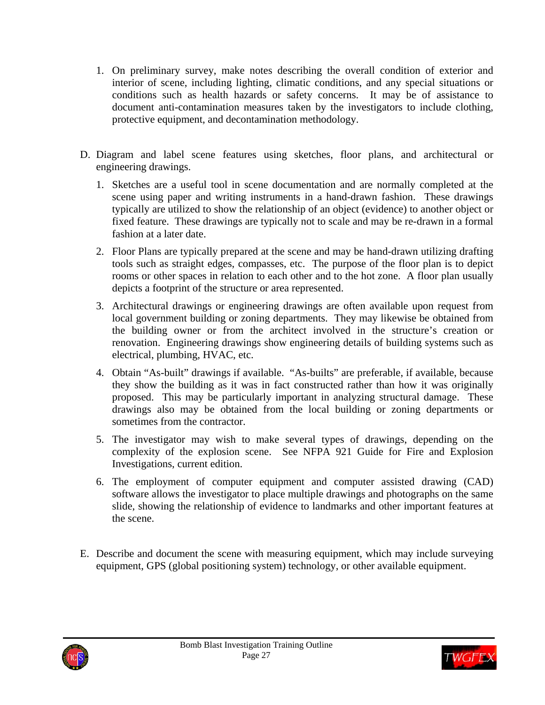- 1. On preliminary survey, make notes describing the overall condition of exterior and interior of scene, including lighting, climatic conditions, and any special situations or conditions such as health hazards or safety concerns. It may be of assistance to document anti-contamination measures taken by the investigators to include clothing, protective equipment, and decontamination methodology.
- D. Diagram and label scene features using sketches, floor plans, and architectural or engineering drawings.
	- 1. Sketches are a useful tool in scene documentation and are normally completed at the scene using paper and writing instruments in a hand-drawn fashion. These drawings typically are utilized to show the relationship of an object (evidence) to another object or fixed feature. These drawings are typically not to scale and may be re-drawn in a formal fashion at a later date.
	- 2. Floor Plans are typically prepared at the scene and may be hand-drawn utilizing drafting tools such as straight edges, compasses, etc. The purpose of the floor plan is to depict rooms or other spaces in relation to each other and to the hot zone. A floor plan usually depicts a footprint of the structure or area represented.
	- 3. Architectural drawings or engineering drawings are often available upon request from local government building or zoning departments. They may likewise be obtained from the building owner or from the architect involved in the structure's creation or renovation. Engineering drawings show engineering details of building systems such as electrical, plumbing, HVAC, etc.
	- 4. Obtain "As-built" drawings if available. "As-builts" are preferable, if available, because they show the building as it was in fact constructed rather than how it was originally proposed. This may be particularly important in analyzing structural damage. These drawings also may be obtained from the local building or zoning departments or sometimes from the contractor.
	- 5. The investigator may wish to make several types of drawings, depending on the complexity of the explosion scene. See NFPA 921 Guide for Fire and Explosion Investigations, current edition.
	- 6. The employment of computer equipment and computer assisted drawing (CAD) software allows the investigator to place multiple drawings and photographs on the same slide, showing the relationship of evidence to landmarks and other important features at the scene.
- E. Describe and document the scene with measuring equipment, which may include surveying equipment, GPS (global positioning system) technology, or other available equipment.



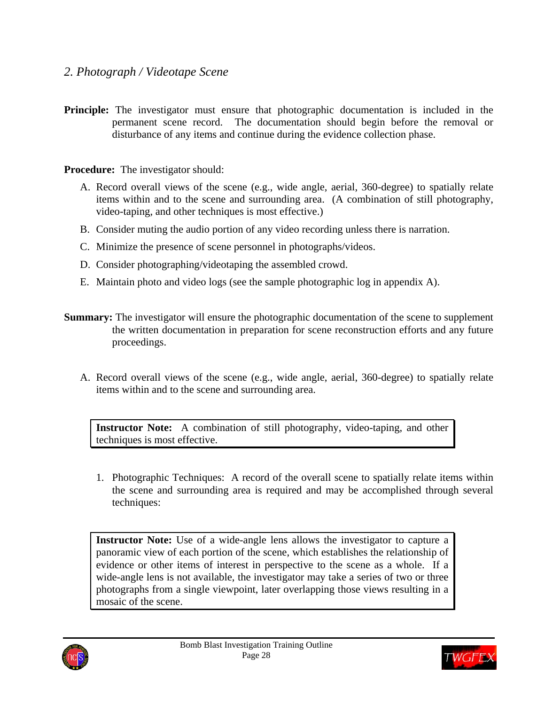- *2. Photograph / Videotape Scene*
- **Principle:** The investigator must ensure that photographic documentation is included in the permanent scene record. The documentation should begin before the removal or disturbance of any items and continue during the evidence collection phase.

**Procedure:** The investigator should:

- A. Record overall views of the scene (e.g., wide angle, aerial, 360-degree) to spatially relate items within and to the scene and surrounding area. (A combination of still photography, video-taping, and other techniques is most effective.)
- B. Consider muting the audio portion of any video recording unless there is narration.
- C. Minimize the presence of scene personnel in photographs/videos.
- D. Consider photographing/videotaping the assembled crowd.
- E. Maintain photo and video logs (see the sample photographic log in appendix A).
- **Summary:** The investigator will ensure the photographic documentation of the scene to supplement the written documentation in preparation for scene reconstruction efforts and any future proceedings.
	- A. Record overall views of the scene (e.g., wide angle, aerial, 360-degree) to spatially relate items within and to the scene and surrounding area.

**Instructor Note:** A combination of still photography, video-taping, and other techniques is most effective.

1. Photographic Techniques: A record of the overall scene to spatially relate items within the scene and surrounding area is required and may be accomplished through several techniques:

**Instructor Note:** Use of a wide-angle lens allows the investigator to capture a panoramic view of each portion of the scene, which establishes the relationship of evidence or other items of interest in perspective to the scene as a whole. If a wide-angle lens is not available, the investigator may take a series of two or three photographs from a single viewpoint, later overlapping those views resulting in a mosaic of the scene.



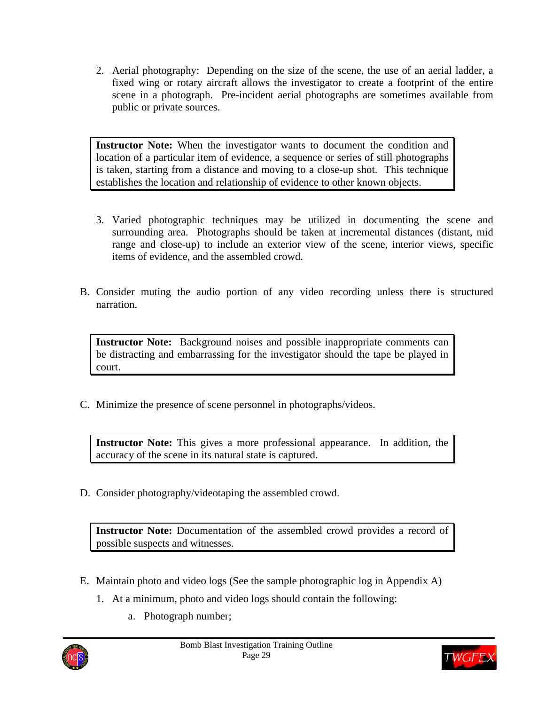2. Aerial photography: Depending on the size of the scene, the use of an aerial ladder, a fixed wing or rotary aircraft allows the investigator to create a footprint of the entire scene in a photograph. Pre-incident aerial photographs are sometimes available from public or private sources.

**Instructor Note:** When the investigator wants to document the condition and location of a particular item of evidence, a sequence or series of still photographs is taken, starting from a distance and moving to a close-up shot. This technique establishes the location and relationship of evidence to other known objects.

- 3. Varied photographic techniques may be utilized in documenting the scene and surrounding area. Photographs should be taken at incremental distances (distant, mid range and close-up) to include an exterior view of the scene, interior views, specific items of evidence, and the assembled crowd.
- B. Consider muting the audio portion of any video recording unless there is structured narration.

**Instructor Note:** Background noises and possible inappropriate comments can be distracting and embarrassing for the investigator should the tape be played in court.

C. Minimize the presence of scene personnel in photographs/videos.

**Instructor Note:** This gives a more professional appearance. In addition, the accuracy of the scene in its natural state is captured.

D. Consider photography/videotaping the assembled crowd.

**Instructor Note:** Documentation of the assembled crowd provides a record of possible suspects and witnesses.

- E. Maintain photo and video logs (See the sample photographic log in Appendix A)
	- 1. At a minimum, photo and video logs should contain the following:
		- a. Photograph number;



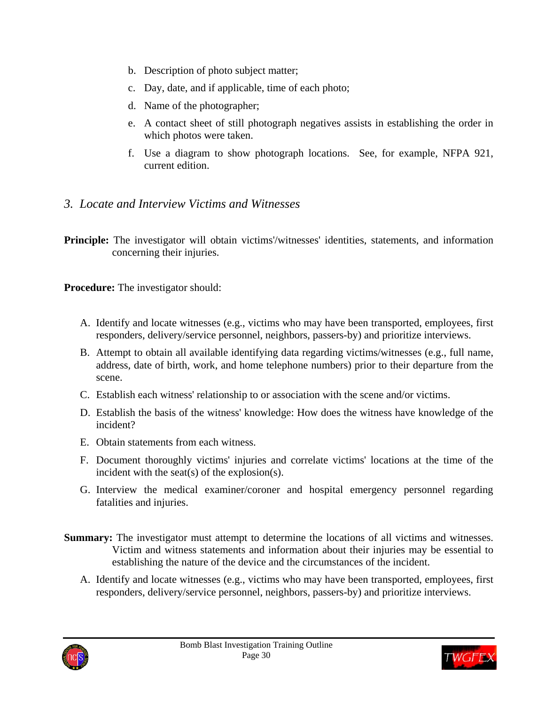- b. Description of photo subject matter;
- c. Day, date, and if applicable, time of each photo;
- d. Name of the photographer;
- e. A contact sheet of still photograph negatives assists in establishing the order in which photos were taken.
- f. Use a diagram to show photograph locations. See, for example, NFPA 921, current edition.
- *3. Locate and Interview Victims and Witnesses*

**Principle:** The investigator will obtain victims'/witnesses' identities, statements, and information concerning their injuries.

**Procedure:** The investigator should:

- A. Identify and locate witnesses (e.g., victims who may have been transported, employees, first responders, delivery/service personnel, neighbors, passers-by) and prioritize interviews.
- B. Attempt to obtain all available identifying data regarding victims/witnesses (e.g., full name, address, date of birth, work, and home telephone numbers) prior to their departure from the scene.
- C. Establish each witness' relationship to or association with the scene and/or victims.
- D. Establish the basis of the witness' knowledge: How does the witness have knowledge of the incident?
- E. Obtain statements from each witness.
- F. Document thoroughly victims' injuries and correlate victims' locations at the time of the incident with the seat(s) of the explosion(s).
- G. Interview the medical examiner/coroner and hospital emergency personnel regarding fatalities and injuries.
- **Summary:** The investigator must attempt to determine the locations of all victims and witnesses. Victim and witness statements and information about their injuries may be essential to establishing the nature of the device and the circumstances of the incident.
	- A. Identify and locate witnesses (e.g., victims who may have been transported, employees, first responders, delivery/service personnel, neighbors, passers-by) and prioritize interviews.



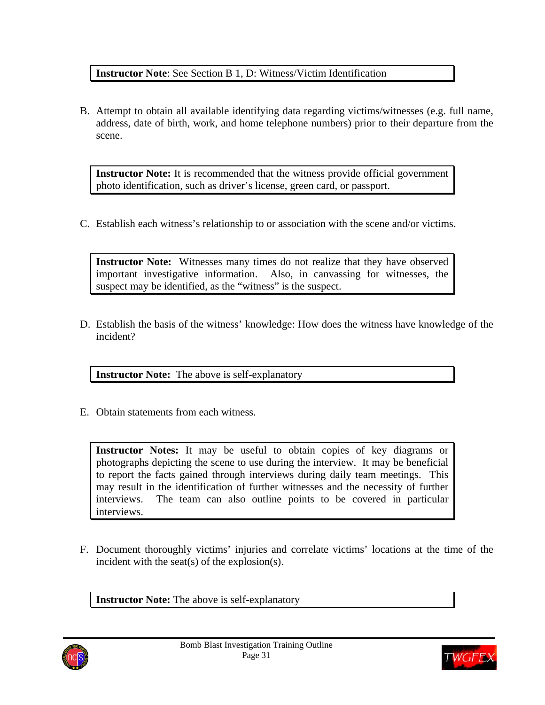### **Instructor Note**: See Section B 1, D: Witness/Victim Identification

B. Attempt to obtain all available identifying data regarding victims/witnesses (e.g. full name, address, date of birth, work, and home telephone numbers) prior to their departure from the scene.

**Instructor Note:** It is recommended that the witness provide official government photo identification, such as driver's license, green card, or passport.

C. Establish each witness's relationship to or association with the scene and/or victims.

**Instructor Note:** Witnesses many times do not realize that they have observed important investigative information. Also, in canvassing for witnesses, the suspect may be identified, as the "witness" is the suspect.

D. Establish the basis of the witness' knowledge: How does the witness have knowledge of the incident?

**Instructor Note:** The above is self-explanatory

E. Obtain statements from each witness.

**Instructor Notes:** It may be useful to obtain copies of key diagrams or photographs depicting the scene to use during the interview. It may be beneficial to report the facts gained through interviews during daily team meetings. This may result in the identification of further witnesses and the necessity of further interviews. The team can also outline points to be covered in particular interviews.

F. Document thoroughly victims' injuries and correlate victims' locations at the time of the incident with the seat(s) of the explosion(s).

**Instructor Note:** The above is self-explanatory



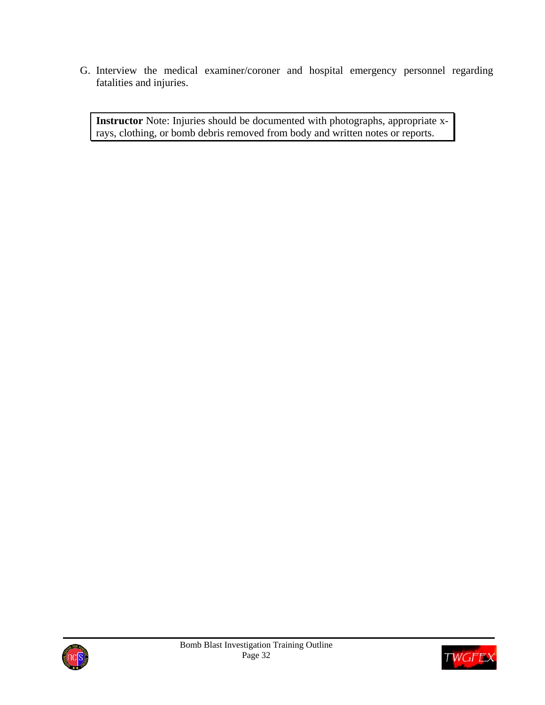G. Interview the medical examiner/coroner and hospital emergency personnel regarding fatalities and injuries.

**Instructor** Note: Injuries should be documented with photographs, appropriate xrays, clothing, or bomb debris removed from body and written notes or reports.



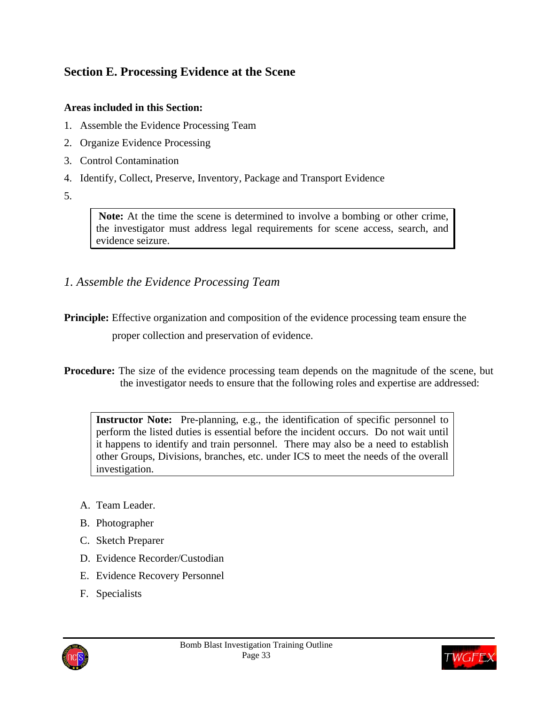## **Section E. Processing Evidence at the Scene**

#### **Areas included in this Section:**

- 1. Assemble the Evidence Processing Team
- 2. Organize Evidence Processing
- 3. Control Contamination
- 4. Identify, Collect, Preserve, Inventory, Package and Transport Evidence
- 5.

 **Note:** At the time the scene is determined to involve a bombing or other crime, the investigator must address legal requirements for scene access, search, and evidence seizure.

*1. Assemble the Evidence Processing Team* 

**Principle:** Effective organization and composition of the evidence processing team ensure the proper collection and preservation of evidence.

**Procedure:** The size of the evidence processing team depends on the magnitude of the scene, but the investigator needs to ensure that the following roles and expertise are addressed:

**Instructor Note:** Pre-planning, e.g., the identification of specific personnel to perform the listed duties is essential before the incident occurs. Do not wait until it happens to identify and train personnel. There may also be a need to establish other Groups, Divisions, branches, etc. under ICS to meet the needs of the overall investigation.

- A. Team Leader.
- B. Photographer
- C. Sketch Preparer
- D. Evidence Recorder/Custodian
- E. Evidence Recovery Personnel
- F. Specialists



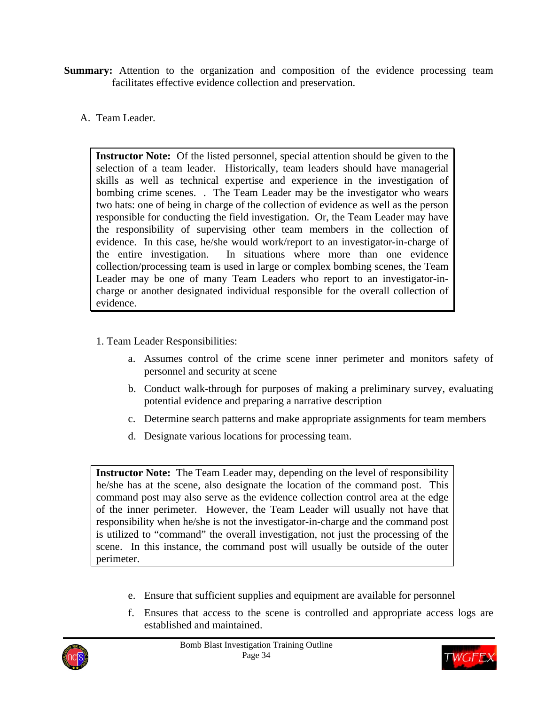- **Summary:** Attention to the organization and composition of the evidence processing team facilitates effective evidence collection and preservation.
	- A. Team Leader.

**Instructor Note:** Of the listed personnel, special attention should be given to the selection of a team leader. Historically, team leaders should have managerial skills as well as technical expertise and experience in the investigation of bombing crime scenes. . The Team Leader may be the investigator who wears two hats: one of being in charge of the collection of evidence as well as the person responsible for conducting the field investigation. Or, the Team Leader may have the responsibility of supervising other team members in the collection of evidence. In this case, he/she would work/report to an investigator-in-charge of the entire investigation. In situations where more than one evidence collection/processing team is used in large or complex bombing scenes, the Team Leader may be one of many Team Leaders who report to an investigator-incharge or another designated individual responsible for the overall collection of evidence.

- 1. Team Leader Responsibilities:
	- a. Assumes control of the crime scene inner perimeter and monitors safety of personnel and security at scene
	- b. Conduct walk-through for purposes of making a preliminary survey, evaluating potential evidence and preparing a narrative description
	- c. Determine search patterns and make appropriate assignments for team members
	- d. Designate various locations for processing team.

**Instructor Note:** The Team Leader may, depending on the level of responsibility he/she has at the scene, also designate the location of the command post. This command post may also serve as the evidence collection control area at the edge of the inner perimeter. However, the Team Leader will usually not have that responsibility when he/she is not the investigator-in-charge and the command post is utilized to "command" the overall investigation, not just the processing of the scene. In this instance, the command post will usually be outside of the outer perimeter.

- e. Ensure that sufficient supplies and equipment are available for personnel
- f. Ensures that access to the scene is controlled and appropriate access logs are established and maintained.



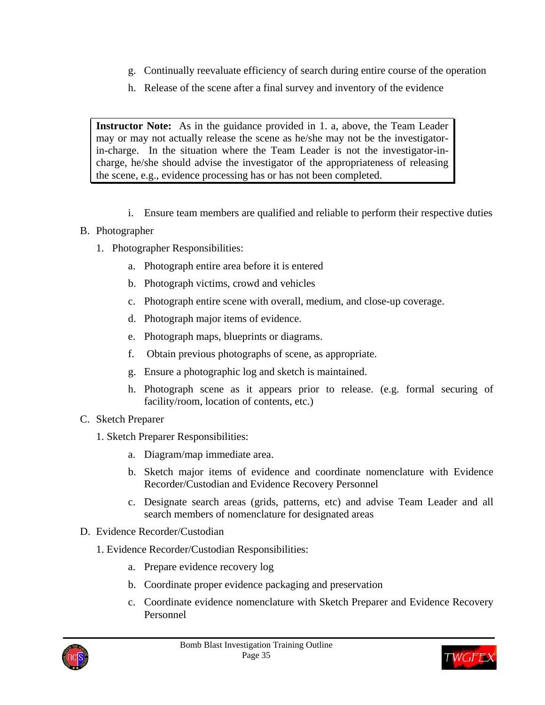- g. Continually reevaluate efficiency of search during entire course of the operation
- h. Release of the scene after a final survey and inventory of the evidence

**Instructor Note:** As in the guidance provided in 1. a, above, the Team Leader may or may not actually release the scene as he/she may not be the investigatorin-charge. In the situation where the Team Leader is not the investigator-incharge, he/she should advise the investigator of the appropriateness of releasing the scene, e.g., evidence processing has or has not been completed.

- i. Ensure team members are qualified and reliable to perform their respective duties
- B. Photographer
	- 1. Photographer Responsibilities:
		- a. Photograph entire area before it is entered
		- b. Photograph victims, crowd and vehicles
		- c. Photograph entire scene with overall, medium, and close-up coverage.
		- d. Photograph major items of evidence.
		- e. Photograph maps, blueprints or diagrams.
		- f. Obtain previous photographs of scene, as appropriate.
		- g. Ensure a photographic log and sketch is maintained.
		- h. Photograph scene as it appears prior to release. (e.g. formal securing of facility/room, location of contents, etc.)
- C. Sketch Preparer
	- 1. Sketch Preparer Responsibilities:
		- a. Diagram/map immediate area.
		- b. Sketch major items of evidence and coordinate nomenclature with Evidence Recorder/Custodian and Evidence Recovery Personnel
		- c. Designate search areas (grids, patterns, etc) and advise Team Leader and all search members of nomenclature for designated areas
- D. Evidence Recorder/Custodian
	- 1. Evidence Recorder/Custodian Responsibilities:
		- a. Prepare evidence recovery log
		- b. Coordinate proper evidence packaging and preservation
		- c. Coordinate evidence nomenclature with Sketch Preparer and Evidence Recovery Personnel



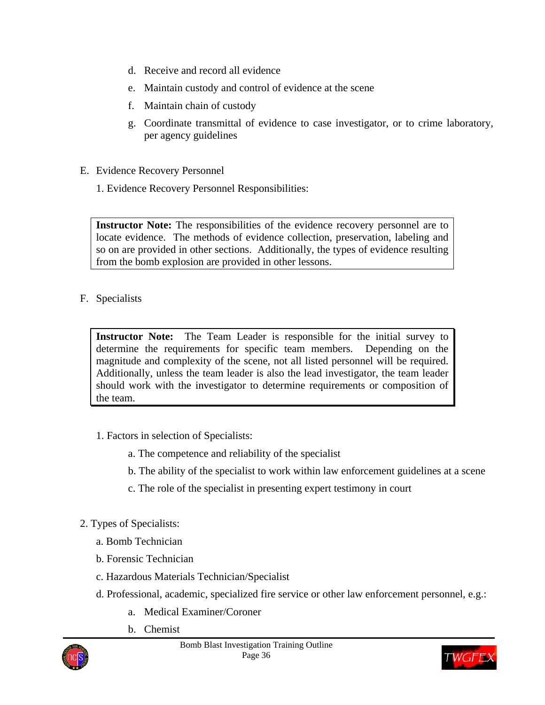- d. Receive and record all evidence
- e. Maintain custody and control of evidence at the scene
- f. Maintain chain of custody
- g. Coordinate transmittal of evidence to case investigator, or to crime laboratory, per agency guidelines
- E. Evidence Recovery Personnel
	- 1. Evidence Recovery Personnel Responsibilities:

**Instructor Note:** The responsibilities of the evidence recovery personnel are to locate evidence. The methods of evidence collection, preservation, labeling and so on are provided in other sections. Additionally, the types of evidence resulting from the bomb explosion are provided in other lessons.

### F. Specialists

**Instructor Note:** The Team Leader is responsible for the initial survey to determine the requirements for specific team members. Depending on the magnitude and complexity of the scene, not all listed personnel will be required. Additionally, unless the team leader is also the lead investigator, the team leader should work with the investigator to determine requirements or composition of the team.

- 1. Factors in selection of Specialists:
	- a. The competence and reliability of the specialist
	- b. The ability of the specialist to work within law enforcement guidelines at a scene
	- c. The role of the specialist in presenting expert testimony in court
- 2. Types of Specialists:
	- a. Bomb Technician
	- b. Forensic Technician
	- c. Hazardous Materials Technician/Specialist
	- d. Professional, academic, specialized fire service or other law enforcement personnel, e.g.:
		- a. Medical Examiner/Coroner
		- b. Chemist



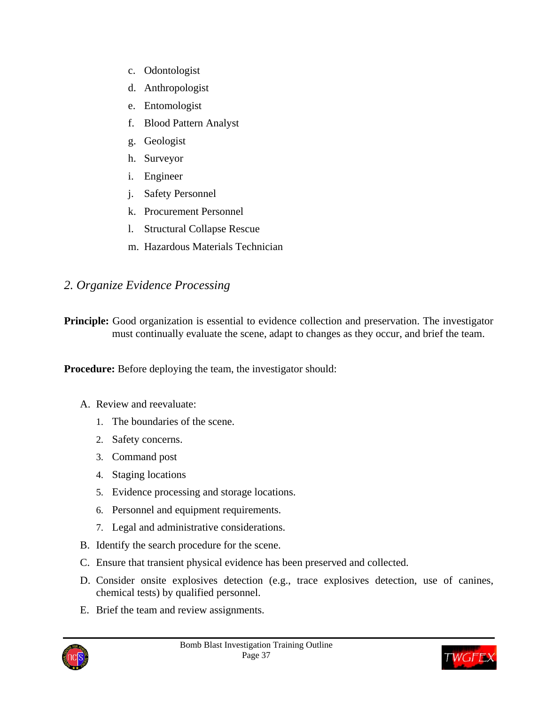- c. Odontologist
- d. Anthropologist
- e. Entomologist
- f. Blood Pattern Analyst
- g. Geologist
- h. Surveyor
- i. Engineer
- j. Safety Personnel
- k. Procurement Personnel
- l. Structural Collapse Rescue
- m. Hazardous Materials Technician

## *2. Organize Evidence Processing*

**Principle:** Good organization is essential to evidence collection and preservation. The investigator must continually evaluate the scene, adapt to changes as they occur, and brief the team.

**Procedure:** Before deploying the team, the investigator should:

- A. Review and reevaluate:
	- 1. The boundaries of the scene.
	- 2. Safety concerns.
	- 3. Command post
	- 4. Staging locations
	- 5. Evidence processing and storage locations.
	- 6. Personnel and equipment requirements.
	- 7. Legal and administrative considerations.
- B. Identify the search procedure for the scene.
- C. Ensure that transient physical evidence has been preserved and collected.
- D. Consider onsite explosives detection (e.g., trace explosives detection, use of canines, chemical tests) by qualified personnel.
- E. Brief the team and review assignments.



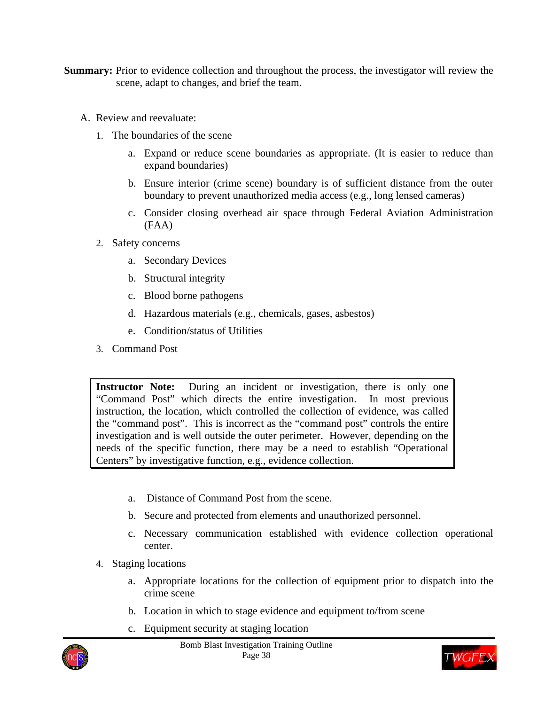- **Summary:** Prior to evidence collection and throughout the process, the investigator will review the scene, adapt to changes, and brief the team.
	- A. Review and reevaluate:
		- 1. The boundaries of the scene
			- a. Expand or reduce scene boundaries as appropriate. (It is easier to reduce than expand boundaries)
			- b. Ensure interior (crime scene) boundary is of sufficient distance from the outer boundary to prevent unauthorized media access (e.g., long lensed cameras)
			- c. Consider closing overhead air space through Federal Aviation Administration (FAA)
		- 2. Safety concerns
			- a. Secondary Devices
			- b. Structural integrity
			- c. Blood borne pathogens
			- d. Hazardous materials (e.g., chemicals, gases, asbestos)
			- e. Condition/status of Utilities
		- 3. Command Post

**Instructor Note:** During an incident or investigation, there is only one "Command Post" which directs the entire investigation. In most previous instruction, the location, which controlled the collection of evidence, was called the "command post". This is incorrect as the "command post" controls the entire investigation and is well outside the outer perimeter. However, depending on the needs of the specific function, there may be a need to establish "Operational Centers" by investigative function, e.g., evidence collection.

- a. Distance of Command Post from the scene.
- b. Secure and protected from elements and unauthorized personnel.
- c. Necessary communication established with evidence collection operational center.
- 4. Staging locations
	- a. Appropriate locations for the collection of equipment prior to dispatch into the crime scene
	- b. Location in which to stage evidence and equipment to/from scene
	- c. Equipment security at staging location



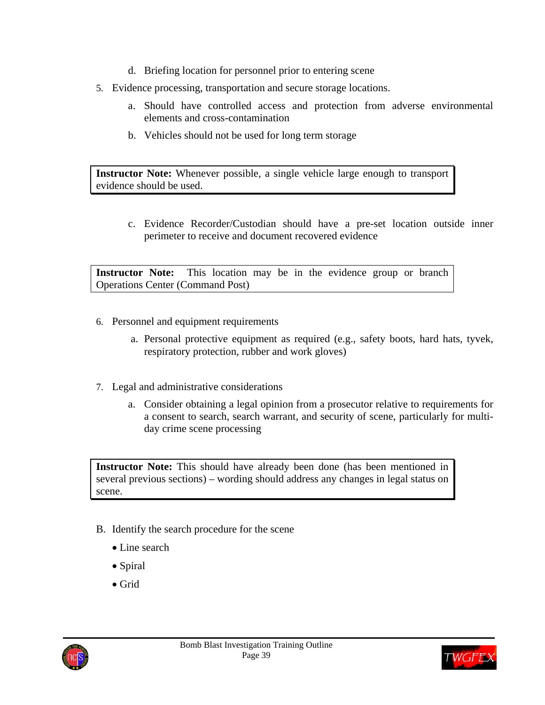- d. Briefing location for personnel prior to entering scene
- 5. Evidence processing, transportation and secure storage locations.
	- a. Should have controlled access and protection from adverse environmental elements and cross-contamination
	- b. Vehicles should not be used for long term storage

**Instructor Note:** Whenever possible, a single vehicle large enough to transport evidence should be used.

c. Evidence Recorder/Custodian should have a pre-set location outside inner perimeter to receive and document recovered evidence

**Instructor Note:** This location may be in the evidence group or branch Operations Center (Command Post)

- 6. Personnel and equipment requirements
	- a. Personal protective equipment as required (e.g., safety boots, hard hats, tyvek, respiratory protection, rubber and work gloves)
- 7. Legal and administrative considerations
	- a. Consider obtaining a legal opinion from a prosecutor relative to requirements for a consent to search, search warrant, and security of scene, particularly for multiday crime scene processing

**Instructor Note:** This should have already been done (has been mentioned in several previous sections) – wording should address any changes in legal status on scene.

- B. Identify the search procedure for the scene
	- Line search
	- Spiral
	- Grid



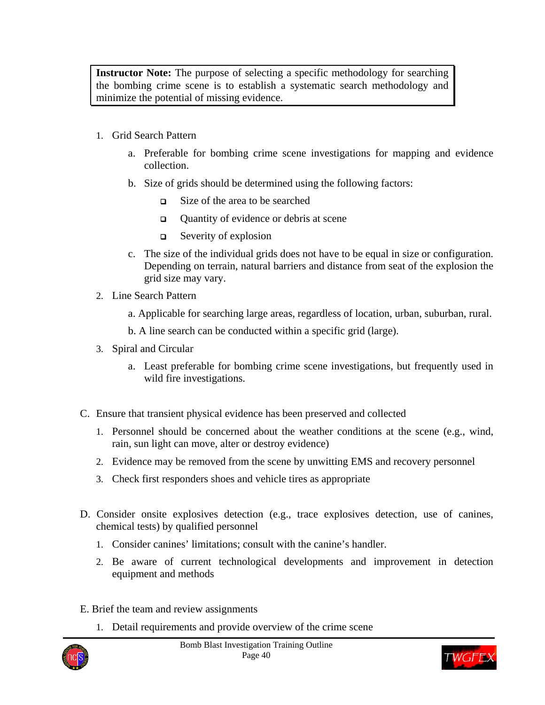**Instructor Note:** The purpose of selecting a specific methodology for searching the bombing crime scene is to establish a systematic search methodology and minimize the potential of missing evidence.

- 1. Grid Search Pattern
	- a. Preferable for bombing crime scene investigations for mapping and evidence collection.
	- b. Size of grids should be determined using the following factors:
		- Size of the area to be searched
		- $\Box$  Ouantity of evidence or debris at scene
		- Severity of explosion
	- c. The size of the individual grids does not have to be equal in size or configuration. Depending on terrain, natural barriers and distance from seat of the explosion the grid size may vary.
- 2. Line Search Pattern
	- a. Applicable for searching large areas, regardless of location, urban, suburban, rural.
	- b. A line search can be conducted within a specific grid (large).
- 3. Spiral and Circular
	- a. Least preferable for bombing crime scene investigations, but frequently used in wild fire investigations.
- C. Ensure that transient physical evidence has been preserved and collected
	- 1. Personnel should be concerned about the weather conditions at the scene (e.g., wind, rain, sun light can move, alter or destroy evidence)
	- 2. Evidence may be removed from the scene by unwitting EMS and recovery personnel
	- 3. Check first responders shoes and vehicle tires as appropriate
- D. Consider onsite explosives detection (e.g., trace explosives detection, use of canines, chemical tests) by qualified personnel
	- 1. Consider canines' limitations; consult with the canine's handler.
	- 2. Be aware of current technological developments and improvement in detection equipment and methods
- E. Brief the team and review assignments
	- 1. Detail requirements and provide overview of the crime scene



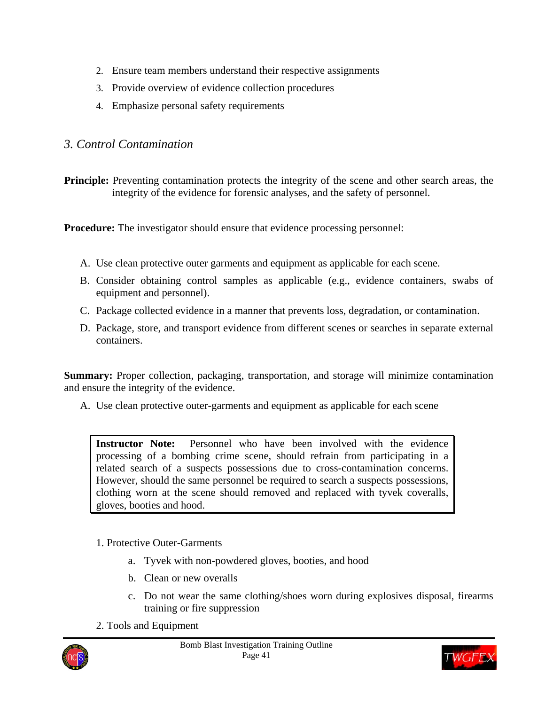- 2. Ensure team members understand their respective assignments
- 3. Provide overview of evidence collection procedures
- 4. Emphasize personal safety requirements

## *3. Control Contamination*

**Principle:** Preventing contamination protects the integrity of the scene and other search areas, the integrity of the evidence for forensic analyses, and the safety of personnel.

**Procedure:** The investigator should ensure that evidence processing personnel:

- A. Use clean protective outer garments and equipment as applicable for each scene.
- B. Consider obtaining control samples as applicable (e.g., evidence containers, swabs of equipment and personnel).
- C. Package collected evidence in a manner that prevents loss, degradation, or contamination.
- D. Package, store, and transport evidence from different scenes or searches in separate external containers.

**Summary:** Proper collection, packaging, transportation, and storage will minimize contamination and ensure the integrity of the evidence.

A. Use clean protective outer-garments and equipment as applicable for each scene

**Instructor Note:** Personnel who have been involved with the evidence processing of a bombing crime scene, should refrain from participating in a related search of a suspects possessions due to cross-contamination concerns. However, should the same personnel be required to search a suspects possessions, clothing worn at the scene should removed and replaced with tyvek coveralls, gloves, booties and hood.

#### 1. Protective Outer-Garments

- a. Tyvek with non-powdered gloves, booties, and hood
- b. Clean or new overalls
- c. Do not wear the same clothing/shoes worn during explosives disposal, firearms training or fire suppression
- 2. Tools and Equipment



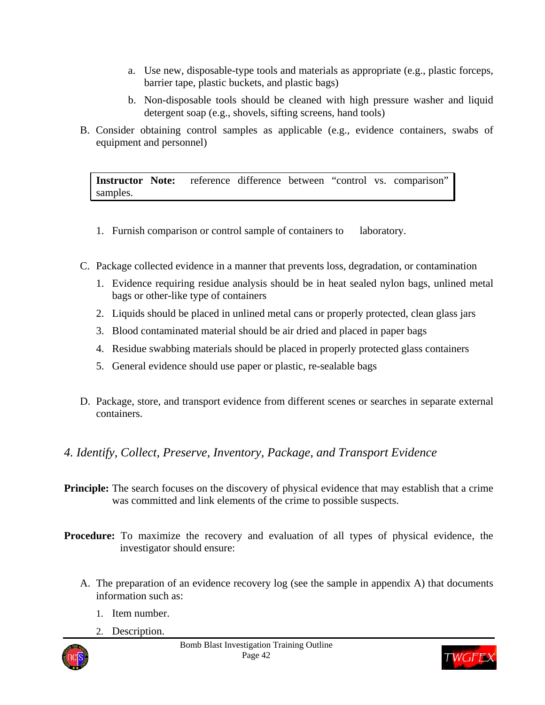- a. Use new, disposable-type tools and materials as appropriate (e.g., plastic forceps, barrier tape, plastic buckets, and plastic bags)
- b. Non-disposable tools should be cleaned with high pressure washer and liquid detergent soap (e.g., shovels, sifting screens, hand tools)
- B. Consider obtaining control samples as applicable (e.g., evidence containers, swabs of equipment and personnel)

**Instructor Note:** reference difference between "control vs. comparison" samples.

- 1. Furnish comparison or control sample of containers to laboratory.
- C. Package collected evidence in a manner that prevents loss, degradation, or contamination
	- 1. Evidence requiring residue analysis should be in heat sealed nylon bags, unlined metal bags or other-like type of containers
	- 2. Liquids should be placed in unlined metal cans or properly protected, clean glass jars
	- 3. Blood contaminated material should be air dried and placed in paper bags
	- 4. Residue swabbing materials should be placed in properly protected glass containers
	- 5. General evidence should use paper or plastic, re-sealable bags
- D. Package, store, and transport evidence from different scenes or searches in separate external containers.

## *4. Identify, Collect, Preserve, Inventory, Package, and Transport Evidence*

- **Principle:** The search focuses on the discovery of physical evidence that may establish that a crime was committed and link elements of the crime to possible suspects.
- **Procedure:** To maximize the recovery and evaluation of all types of physical evidence, the investigator should ensure:
	- A. The preparation of an evidence recovery log (see the sample in appendix A) that documents information such as:
		- 1. Item number.
		- 2. Description.



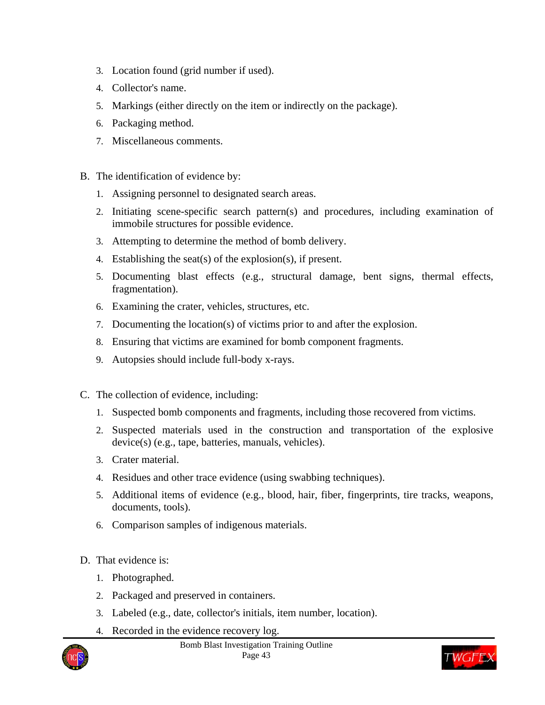- 3. Location found (grid number if used).
- 4. Collector's name.
- 5. Markings (either directly on the item or indirectly on the package).
- 6. Packaging method.
- 7. Miscellaneous comments.
- B. The identification of evidence by:
	- 1. Assigning personnel to designated search areas.
	- 2. Initiating scene-specific search pattern(s) and procedures, including examination of immobile structures for possible evidence.
	- 3. Attempting to determine the method of bomb delivery.
	- 4. Establishing the seat(s) of the explosion(s), if present.
	- 5. Documenting blast effects (e.g., structural damage, bent signs, thermal effects, fragmentation).
	- 6. Examining the crater, vehicles, structures, etc.
	- 7. Documenting the location(s) of victims prior to and after the explosion.
	- 8. Ensuring that victims are examined for bomb component fragments.
	- 9. Autopsies should include full-body x-rays.
- C. The collection of evidence, including:
	- 1. Suspected bomb components and fragments, including those recovered from victims.
	- 2. Suspected materials used in the construction and transportation of the explosive device(s) (e.g., tape, batteries, manuals, vehicles).
	- 3. Crater material.
	- 4. Residues and other trace evidence (using swabbing techniques).
	- 5. Additional items of evidence (e.g., blood, hair, fiber, fingerprints, tire tracks, weapons, documents, tools).
	- 6. Comparison samples of indigenous materials.
- D. That evidence is:
	- 1. Photographed.
	- 2. Packaged and preserved in containers.
	- 3. Labeled (e.g., date, collector's initials, item number, location).
	- 4. Recorded in the evidence recovery log.



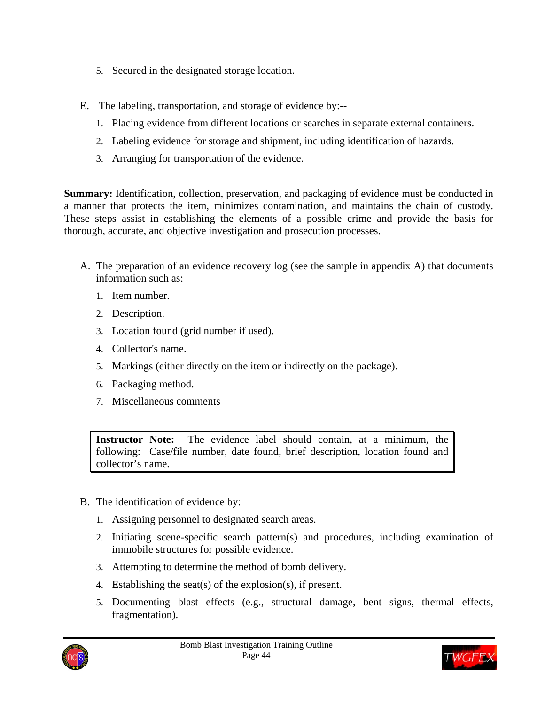- 5. Secured in the designated storage location.
- E. The labeling, transportation, and storage of evidence by:--
	- 1. Placing evidence from different locations or searches in separate external containers.
	- 2. Labeling evidence for storage and shipment, including identification of hazards.
	- 3. Arranging for transportation of the evidence.

**Summary:** Identification, collection, preservation, and packaging of evidence must be conducted in a manner that protects the item, minimizes contamination, and maintains the chain of custody. These steps assist in establishing the elements of a possible crime and provide the basis for thorough, accurate, and objective investigation and prosecution processes.

- A. The preparation of an evidence recovery log (see the sample in appendix A) that documents information such as:
	- 1. Item number.
	- 2. Description.
	- 3. Location found (grid number if used).
	- 4. Collector's name.
	- 5. Markings (either directly on the item or indirectly on the package).
	- 6. Packaging method.
	- 7. Miscellaneous comments

**Instructor Note:** The evidence label should contain, at a minimum, the following: Case/file number, date found, brief description, location found and collector's name.

- B. The identification of evidence by:
	- 1. Assigning personnel to designated search areas.
	- 2. Initiating scene-specific search pattern(s) and procedures, including examination of immobile structures for possible evidence.
	- 3. Attempting to determine the method of bomb delivery.
	- 4. Establishing the seat(s) of the explosion(s), if present.
	- 5. Documenting blast effects (e.g., structural damage, bent signs, thermal effects, fragmentation).



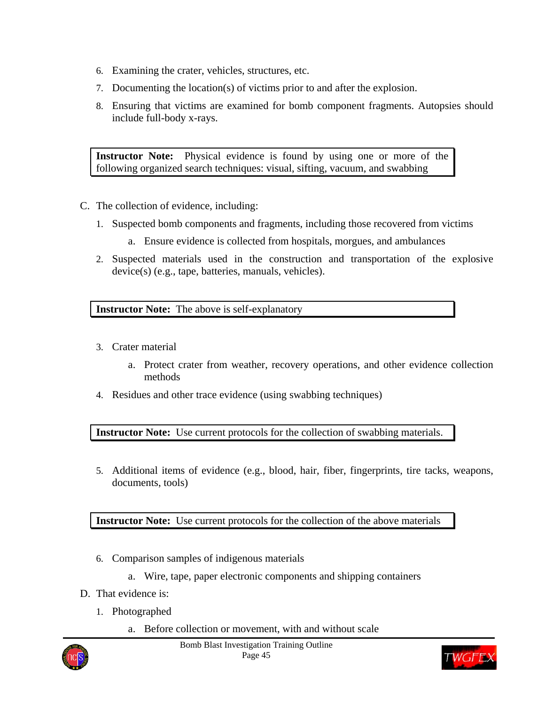- 6. Examining the crater, vehicles, structures, etc.
- 7. Documenting the location(s) of victims prior to and after the explosion.
- 8. Ensuring that victims are examined for bomb component fragments. Autopsies should include full-body x-rays.

**Instructor Note:** Physical evidence is found by using one or more of the following organized search techniques: visual, sifting, vacuum, and swabbing

- C. The collection of evidence, including:
	- 1. Suspected bomb components and fragments, including those recovered from victims
		- a. Ensure evidence is collected from hospitals, morgues, and ambulances
	- 2. Suspected materials used in the construction and transportation of the explosive device(s) (e.g., tape, batteries, manuals, vehicles).

**Instructor Note:** The above is self-explanatory

- 3. Crater material
	- a. Protect crater from weather, recovery operations, and other evidence collection methods
- 4. Residues and other trace evidence (using swabbing techniques)

**Instructor Note:** Use current protocols for the collection of swabbing materials.

5. Additional items of evidence (e.g., blood, hair, fiber, fingerprints, tire tacks, weapons, documents, tools)

**Instructor Note:** Use current protocols for the collection of the above materials

- 6. Comparison samples of indigenous materials
	- a. Wire, tape, paper electronic components and shipping containers
- D. That evidence is:
	- 1. Photographed
		- a. Before collection or movement, with and without scale



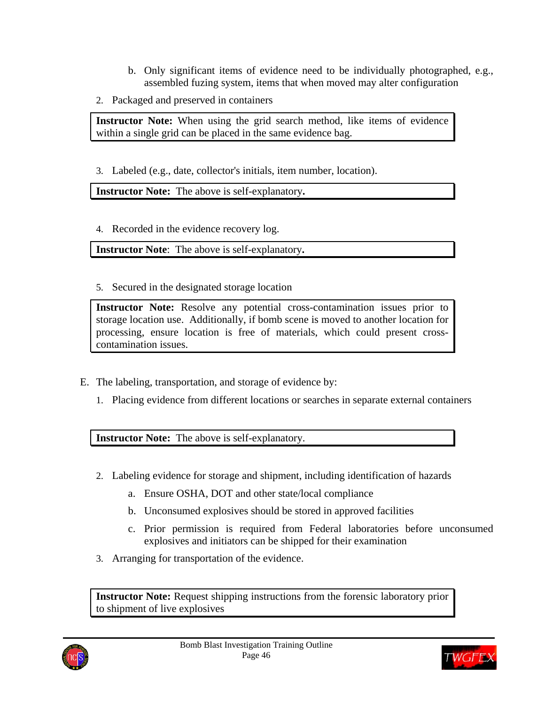- b. Only significant items of evidence need to be individually photographed, e.g., assembled fuzing system, items that when moved may alter configuration
- 2. Packaged and preserved in containers

**Instructor Note:** When using the grid search method, like items of evidence within a single grid can be placed in the same evidence bag.

3. Labeled (e.g., date, collector's initials, item number, location).

**Instructor Note:** The above is self-explanatory**.** 

4. Recorded in the evidence recovery log.

**Instructor Note**: The above is self-explanatory**.** 

5. Secured in the designated storage location

**Instructor Note:** Resolve any potential cross-contamination issues prior to storage location use. Additionally, if bomb scene is moved to another location for processing, ensure location is free of materials, which could present crosscontamination issues.

- E. The labeling, transportation, and storage of evidence by:
	- 1. Placing evidence from different locations or searches in separate external containers

**Instructor Note:** The above is self-explanatory.

- 2. Labeling evidence for storage and shipment, including identification of hazards
	- a. Ensure OSHA, DOT and other state/local compliance
	- b. Unconsumed explosives should be stored in approved facilities
	- c. Prior permission is required from Federal laboratories before unconsumed explosives and initiators can be shipped for their examination
- 3. Arranging for transportation of the evidence.

**Instructor Note:** Request shipping instructions from the forensic laboratory prior to shipment of live explosives



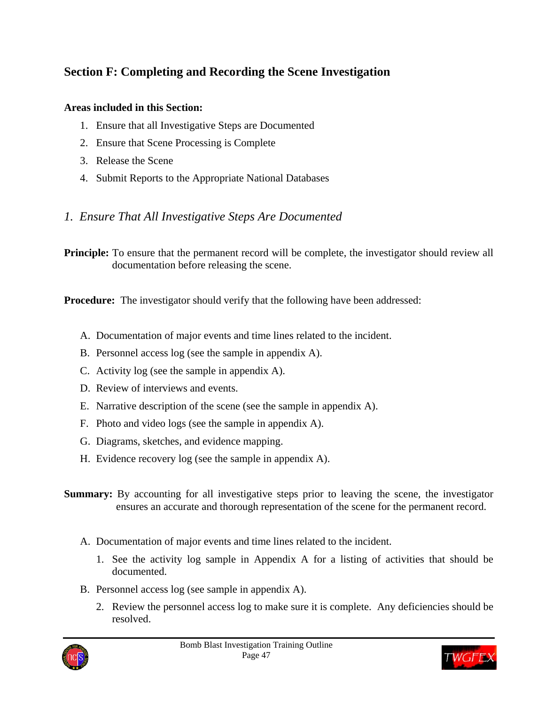# **Section F: Completing and Recording the Scene Investigation**

### **Areas included in this Section:**

- 1. Ensure that all Investigative Steps are Documented
- 2. Ensure that Scene Processing is Complete
- 3. Release the Scene
- 4. Submit Reports to the Appropriate National Databases

## *1. Ensure That All Investigative Steps Are Documented*

**Principle:** To ensure that the permanent record will be complete, the investigator should review all documentation before releasing the scene.

**Procedure:** The investigator should verify that the following have been addressed:

- A. Documentation of major events and time lines related to the incident.
- B. Personnel access log (see the sample in appendix A).
- C. Activity log (see the sample in appendix A).
- D. Review of interviews and events.
- E. Narrative description of the scene (see the sample in appendix A).
- F. Photo and video logs (see the sample in appendix A).
- G. Diagrams, sketches, and evidence mapping.
- H. Evidence recovery log (see the sample in appendix A).
- **Summary:** By accounting for all investigative steps prior to leaving the scene, the investigator ensures an accurate and thorough representation of the scene for the permanent record.
	- A. Documentation of major events and time lines related to the incident.
		- 1. See the activity log sample in Appendix A for a listing of activities that should be documented.
	- B. Personnel access log (see sample in appendix A).
		- 2. Review the personnel access log to make sure it is complete. Any deficiencies should be resolved.



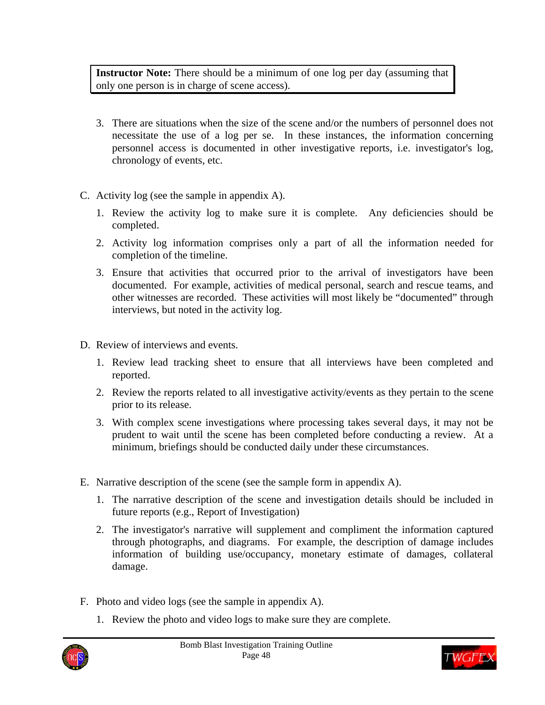**Instructor Note:** There should be a minimum of one log per day (assuming that only one person is in charge of scene access).

- 3. There are situations when the size of the scene and/or the numbers of personnel does not necessitate the use of a log per se. In these instances, the information concerning personnel access is documented in other investigative reports, i.e. investigator's log, chronology of events, etc.
- C. Activity log (see the sample in appendix A).
	- 1. Review the activity log to make sure it is complete. Any deficiencies should be completed.
	- 2. Activity log information comprises only a part of all the information needed for completion of the timeline.
	- 3. Ensure that activities that occurred prior to the arrival of investigators have been documented. For example, activities of medical personal, search and rescue teams, and other witnesses are recorded. These activities will most likely be "documented" through interviews, but noted in the activity log.
- D. Review of interviews and events.
	- 1. Review lead tracking sheet to ensure that all interviews have been completed and reported.
	- 2. Review the reports related to all investigative activity/events as they pertain to the scene prior to its release.
	- 3. With complex scene investigations where processing takes several days, it may not be prudent to wait until the scene has been completed before conducting a review. At a minimum, briefings should be conducted daily under these circumstances.
- E. Narrative description of the scene (see the sample form in appendix A).
	- 1. The narrative description of the scene and investigation details should be included in future reports (e.g., Report of Investigation)
	- 2. The investigator's narrative will supplement and compliment the information captured through photographs, and diagrams. For example, the description of damage includes information of building use/occupancy, monetary estimate of damages, collateral damage.
- F. Photo and video logs (see the sample in appendix A).
	- 1. Review the photo and video logs to make sure they are complete.



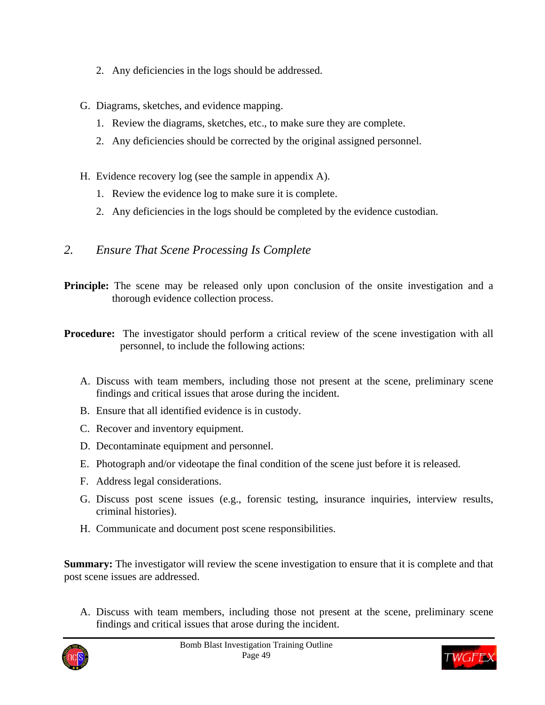- 2. Any deficiencies in the logs should be addressed.
- G. Diagrams, sketches, and evidence mapping.
	- 1. Review the diagrams, sketches, etc., to make sure they are complete.
	- 2. Any deficiencies should be corrected by the original assigned personnel.
- H. Evidence recovery log (see the sample in appendix A).
	- 1. Review the evidence log to make sure it is complete.
	- 2. Any deficiencies in the logs should be completed by the evidence custodian.

### *2. Ensure That Scene Processing Is Complete*

- **Principle:** The scene may be released only upon conclusion of the onsite investigation and a thorough evidence collection process.
- **Procedure:** The investigator should perform a critical review of the scene investigation with all personnel, to include the following actions:
	- A. Discuss with team members, including those not present at the scene, preliminary scene findings and critical issues that arose during the incident.
	- B. Ensure that all identified evidence is in custody.
	- C. Recover and inventory equipment.
	- D. Decontaminate equipment and personnel.
	- E. Photograph and/or videotape the final condition of the scene just before it is released.
	- F. Address legal considerations.
	- G. Discuss post scene issues (e.g., forensic testing, insurance inquiries, interview results, criminal histories).
	- H. Communicate and document post scene responsibilities.

**Summary:** The investigator will review the scene investigation to ensure that it is complete and that post scene issues are addressed.

A. Discuss with team members, including those not present at the scene, preliminary scene findings and critical issues that arose during the incident.



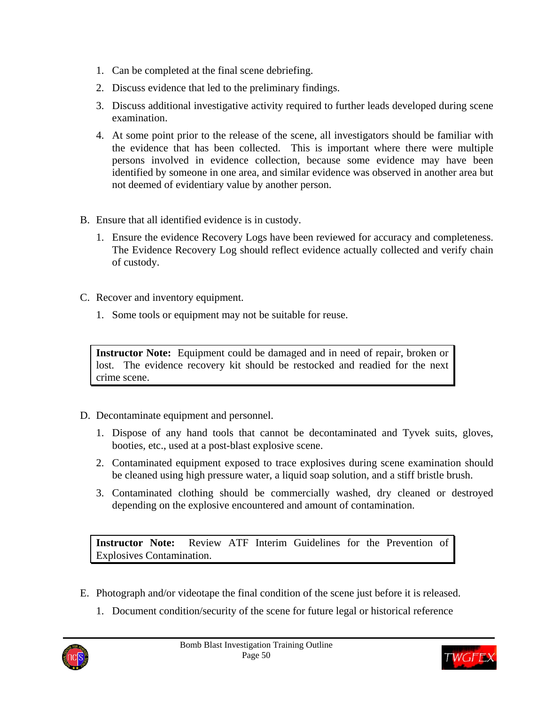- 1. Can be completed at the final scene debriefing.
- 2. Discuss evidence that led to the preliminary findings.
- 3. Discuss additional investigative activity required to further leads developed during scene examination.
- 4. At some point prior to the release of the scene, all investigators should be familiar with the evidence that has been collected. This is important where there were multiple persons involved in evidence collection, because some evidence may have been identified by someone in one area, and similar evidence was observed in another area but not deemed of evidentiary value by another person.
- B. Ensure that all identified evidence is in custody.
	- 1. Ensure the evidence Recovery Logs have been reviewed for accuracy and completeness. The Evidence Recovery Log should reflect evidence actually collected and verify chain of custody.
- C. Recover and inventory equipment.
	- 1. Some tools or equipment may not be suitable for reuse.

**Instructor Note:** Equipment could be damaged and in need of repair, broken or lost. The evidence recovery kit should be restocked and readied for the next crime scene.

- D. Decontaminate equipment and personnel.
	- 1. Dispose of any hand tools that cannot be decontaminated and Tyvek suits, gloves, booties, etc., used at a post-blast explosive scene.
	- 2. Contaminated equipment exposed to trace explosives during scene examination should be cleaned using high pressure water, a liquid soap solution, and a stiff bristle brush.
	- 3. Contaminated clothing should be commercially washed, dry cleaned or destroyed depending on the explosive encountered and amount of contamination.

**Instructor Note:** Review ATF Interim Guidelines for the Prevention of Explosives Contamination.

- E. Photograph and/or videotape the final condition of the scene just before it is released.
	- 1. Document condition/security of the scene for future legal or historical reference



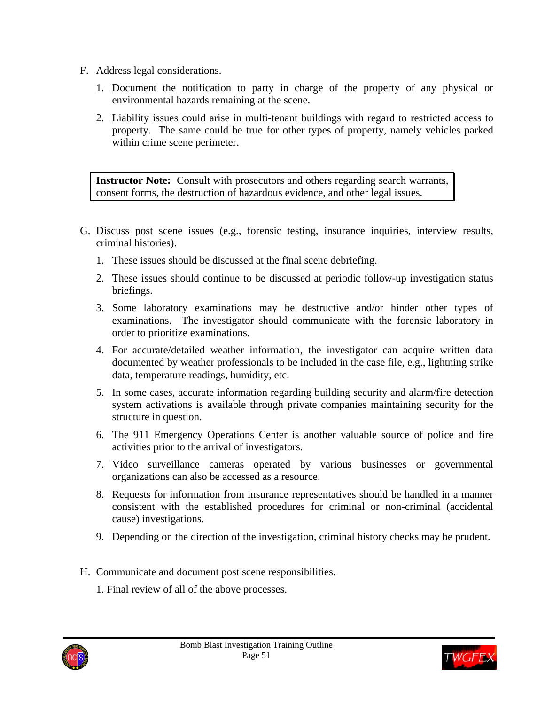- F. Address legal considerations.
	- 1. Document the notification to party in charge of the property of any physical or environmental hazards remaining at the scene.
	- 2. Liability issues could arise in multi-tenant buildings with regard to restricted access to property. The same could be true for other types of property, namely vehicles parked within crime scene perimeter.

**Instructor Note:** Consult with prosecutors and others regarding search warrants, consent forms, the destruction of hazardous evidence, and other legal issues.

- G. Discuss post scene issues (e.g., forensic testing, insurance inquiries, interview results, criminal histories).
	- 1. These issues should be discussed at the final scene debriefing.
	- 2. These issues should continue to be discussed at periodic follow-up investigation status briefings.
	- 3. Some laboratory examinations may be destructive and/or hinder other types of examinations. The investigator should communicate with the forensic laboratory in order to prioritize examinations.
	- 4. For accurate/detailed weather information, the investigator can acquire written data documented by weather professionals to be included in the case file, e.g., lightning strike data, temperature readings, humidity, etc.
	- 5. In some cases, accurate information regarding building security and alarm/fire detection system activations is available through private companies maintaining security for the structure in question.
	- 6. The 911 Emergency Operations Center is another valuable source of police and fire activities prior to the arrival of investigators.
	- 7. Video surveillance cameras operated by various businesses or governmental organizations can also be accessed as a resource.
	- 8. Requests for information from insurance representatives should be handled in a manner consistent with the established procedures for criminal or non-criminal (accidental cause) investigations.
	- 9. Depending on the direction of the investigation, criminal history checks may be prudent.
- H. Communicate and document post scene responsibilities.
	- 1. Final review of all of the above processes.



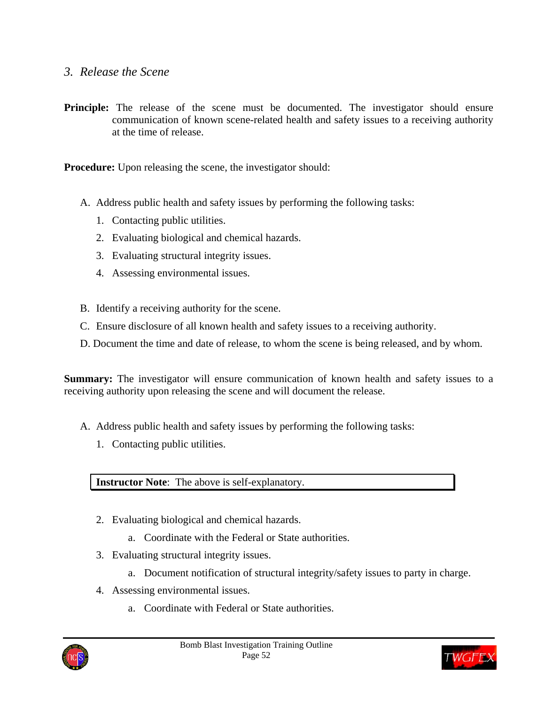### *3. Release the Scene*

**Principle:** The release of the scene must be documented. The investigator should ensure communication of known scene-related health and safety issues to a receiving authority at the time of release.

**Procedure:** Upon releasing the scene, the investigator should:

- A. Address public health and safety issues by performing the following tasks:
	- 1. Contacting public utilities.
	- 2. Evaluating biological and chemical hazards.
	- 3. Evaluating structural integrity issues.
	- 4. Assessing environmental issues.
- B. Identify a receiving authority for the scene.
- C. Ensure disclosure of all known health and safety issues to a receiving authority.
- D. Document the time and date of release, to whom the scene is being released, and by whom.

**Summary:** The investigator will ensure communication of known health and safety issues to a receiving authority upon releasing the scene and will document the release.

- A. Address public health and safety issues by performing the following tasks:
	- 1. Contacting public utilities.

**Instructor Note**: The above is self-explanatory.

- 2. Evaluating biological and chemical hazards.
	- a. Coordinate with the Federal or State authorities.
- 3. Evaluating structural integrity issues.
	- a. Document notification of structural integrity/safety issues to party in charge.
- 4. Assessing environmental issues.
	- a. Coordinate with Federal or State authorities.



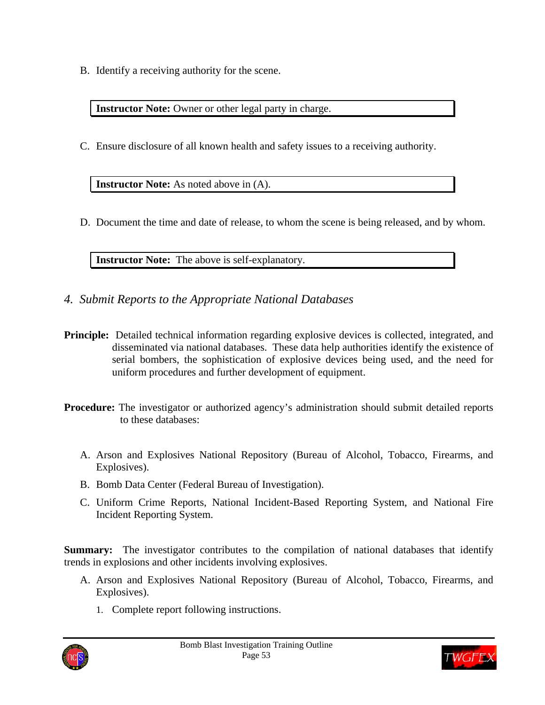B. Identify a receiving authority for the scene.

**Instructor Note:** Owner or other legal party in charge.

C. Ensure disclosure of all known health and safety issues to a receiving authority.

**Instructor Note:** As noted above in  $(A)$ .

D. Document the time and date of release, to whom the scene is being released, and by whom.

**Instructor Note:** The above is self-explanatory.

- *4. Submit Reports to the Appropriate National Databases*
- **Principle:** Detailed technical information regarding explosive devices is collected, integrated, and disseminated via national databases. These data help authorities identify the existence of serial bombers, the sophistication of explosive devices being used, and the need for uniform procedures and further development of equipment.
- **Procedure:** The investigator or authorized agency's administration should submit detailed reports to these databases:
	- A. Arson and Explosives National Repository (Bureau of Alcohol, Tobacco, Firearms, and Explosives).
	- B. Bomb Data Center (Federal Bureau of Investigation).
	- C. Uniform Crime Reports, National Incident-Based Reporting System, and National Fire Incident Reporting System.

**Summary:** The investigator contributes to the compilation of national databases that identify trends in explosions and other incidents involving explosives.

- A. Arson and Explosives National Repository (Bureau of Alcohol, Tobacco, Firearms, and Explosives).
	- 1. Complete report following instructions.